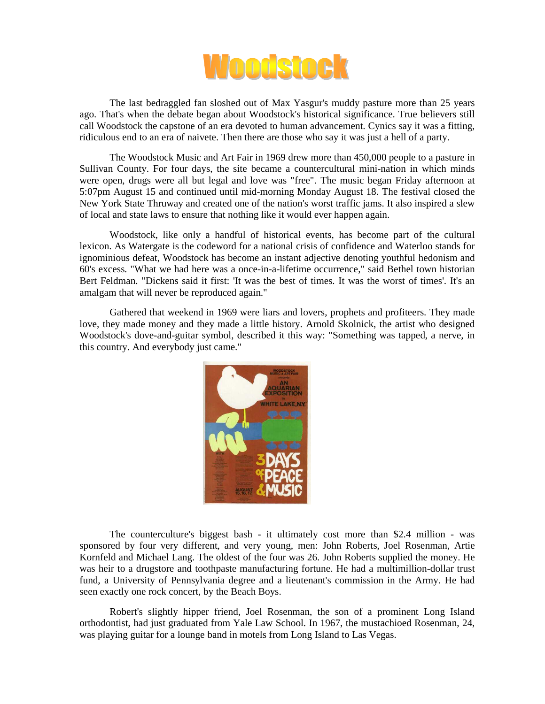

The last bedraggled fan sloshed out of Max Yasgur's muddy pasture more than 25 years ago. That's when the debate began about Woodstock's historical significance. True believers still call Woodstock the capstone of an era devoted to human advancement. Cynics say it was a fitting, ridiculous end to an era of naivete. Then there are those who say it was just a hell of a party.

The Woodstock Music and Art Fair in 1969 drew more than 450,000 people to a pasture in Sullivan County. For four days, the site became a countercultural mini-nation in which minds were open, drugs were all but legal and love was "free". The music began Friday afternoon at 5:07pm August 15 and continued until mid-morning Monday August 18. The festival closed the New York State Thruway and created one of the nation's worst traffic jams. It also inspired a slew of local and state laws to ensure that nothing like it would ever happen again.

Woodstock, like only a handful of historical events, has become part of the cultural lexicon. As Watergate is the codeword for a national crisis of confidence and Waterloo stands for ignominious defeat, Woodstock has become an instant adjective denoting youthful hedonism and 60's excess. "What we had here was a once-in-a-lifetime occurrence," said Bethel town historian Bert Feldman. "Dickens said it first: 'It was the best of times. It was the worst of times'. It's an amalgam that will never be reproduced again."

Gathered that weekend in 1969 were liars and lovers, prophets and profiteers. They made love, they made money and they made a little history. Arnold Skolnick, the artist who designed Woodstock's dove-and-guitar symbol, described it this way: "Something was tapped, a nerve, in this country. And everybody just came."



The counterculture's biggest bash - it ultimately cost more than \$2.4 million - was sponsored by four very different, and very young, men: John Roberts, Joel Rosenman, Artie Kornfeld and Michael Lang. The oldest of the four was 26. John Roberts supplied the money. He was heir to a drugstore and toothpaste manufacturing fortune. He had a multimillion-dollar trust fund, a University of Pennsylvania degree and a lieutenant's commission in the Army. He had seen exactly one rock concert, by the Beach Boys.

Robert's slightly hipper friend, Joel Rosenman, the son of a prominent Long Island orthodontist, had just graduated from Yale Law School. In 1967, the mustachioed Rosenman, 24, was playing guitar for a lounge band in motels from Long Island to Las Vegas.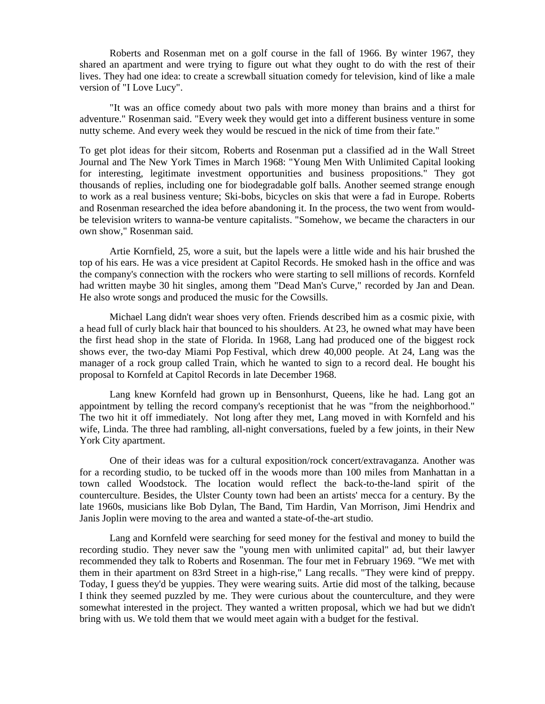Roberts and Rosenman met on a golf course in the fall of 1966. By winter 1967, they shared an apartment and were trying to figure out what they ought to do with the rest of their lives. They had one idea: to create a screwball situation comedy for television, kind of like a male version of "I Love Lucy".

"It was an office comedy about two pals with more money than brains and a thirst for adventure." Rosenman said. "Every week they would get into a different business venture in some nutty scheme. And every week they would be rescued in the nick of time from their fate."

To get plot ideas for their sitcom, Roberts and Rosenman put a classified ad in the Wall Street Journal and The New York Times in March 1968: "Young Men With Unlimited Capital looking for interesting, legitimate investment opportunities and business propositions." They got thousands of replies, including one for biodegradable golf balls. Another seemed strange enough to work as a real business venture; Ski-bobs, bicycles on skis that were a fad in Europe. Roberts and Rosenman researched the idea before abandoning it. In the process, the two went from wouldbe television writers to wanna-be venture capitalists. "Somehow, we became the characters in our own show," Rosenman said.

Artie Kornfield, 25, wore a suit, but the lapels were a little wide and his hair brushed the top of his ears. He was a vice president at Capitol Records. He smoked hash in the office and was the company's connection with the rockers who were starting to sell millions of records. Kornfeld had written maybe 30 hit singles, among them "Dead Man's Curve," recorded by Jan and Dean. He also wrote songs and produced the music for the Cowsills.

Michael Lang didn't wear shoes very often. Friends described him as a cosmic pixie, with a head full of curly black hair that bounced to his shoulders. At 23, he owned what may have been the first head shop in the state of Florida. In 1968, Lang had produced one of the biggest rock shows ever, the two-day Miami Pop Festival, which drew 40,000 people. At 24, Lang was the manager of a rock group called Train, which he wanted to sign to a record deal. He bought his proposal to Kornfeld at Capitol Records in late December 1968.

Lang knew Kornfeld had grown up in Bensonhurst, Queens, like he had. Lang got an appointment by telling the record company's receptionist that he was "from the neighborhood." The two hit it off immediately. Not long after they met, Lang moved in with Kornfeld and his wife, Linda. The three had rambling, all-night conversations, fueled by a few joints, in their New York City apartment.

One of their ideas was for a cultural exposition/rock concert/extravaganza. Another was for a recording studio, to be tucked off in the woods more than 100 miles from Manhattan in a town called Woodstock. The location would reflect the back-to-the-land spirit of the counterculture. Besides, the Ulster County town had been an artists' mecca for a century. By the late 1960s, musicians like Bob Dylan, The Band, Tim Hardin, Van Morrison, Jimi Hendrix and Janis Joplin were moving to the area and wanted a state-of-the-art studio.

Lang and Kornfeld were searching for seed money for the festival and money to build the recording studio. They never saw the "young men with unlimited capital" ad, but their lawyer recommended they talk to Roberts and Rosenman. The four met in February 1969. "We met with them in their apartment on 83rd Street in a high-rise," Lang recalls. "They were kind of preppy. Today, I guess they'd be yuppies. They were wearing suits. Artie did most of the talking, because I think they seemed puzzled by me. They were curious about the counterculture, and they were somewhat interested in the project. They wanted a written proposal, which we had but we didn't bring with us. We told them that we would meet again with a budget for the festival.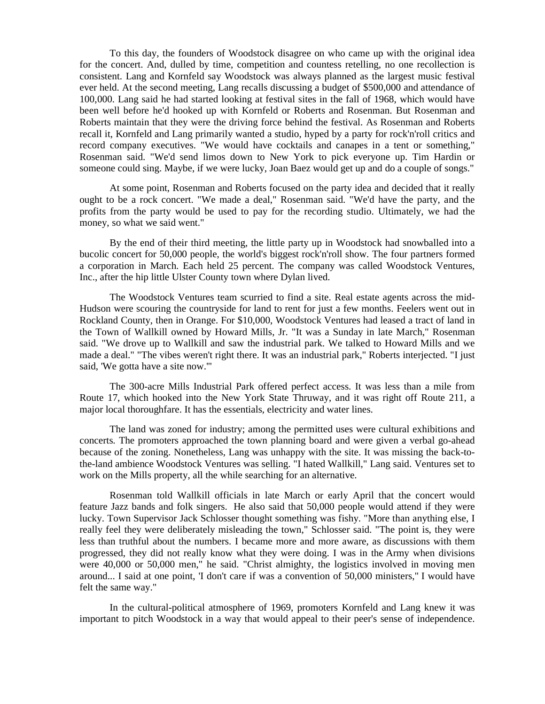To this day, the founders of Woodstock disagree on who came up with the original idea for the concert. And, dulled by time, competition and countess retelling, no one recollection is consistent. Lang and Kornfeld say Woodstock was always planned as the largest music festival ever held. At the second meeting, Lang recalls discussing a budget of \$500,000 and attendance of 100,000. Lang said he had started looking at festival sites in the fall of 1968, which would have been well before he'd hooked up with Kornfeld or Roberts and Rosenman. But Rosenman and Roberts maintain that they were the driving force behind the festival. As Rosenman and Roberts recall it, Kornfeld and Lang primarily wanted a studio, hyped by a party for rock'n'roll critics and record company executives. "We would have cocktails and canapes in a tent or something," Rosenman said. "We'd send limos down to New York to pick everyone up. Tim Hardin or someone could sing. Maybe, if we were lucky, Joan Baez would get up and do a couple of songs."

At some point, Rosenman and Roberts focused on the party idea and decided that it really ought to be a rock concert. "We made a deal," Rosenman said. "We'd have the party, and the profits from the party would be used to pay for the recording studio. Ultimately, we had the money, so what we said went."

By the end of their third meeting, the little party up in Woodstock had snowballed into a bucolic concert for 50,000 people, the world's biggest rock'n'roll show. The four partners formed a corporation in March. Each held 25 percent. The company was called Woodstock Ventures, Inc., after the hip little Ulster County town where Dylan lived.

The Woodstock Ventures team scurried to find a site. Real estate agents across the mid-Hudson were scouring the countryside for land to rent for just a few months. Feelers went out in Rockland County, then in Orange. For \$10,000, Woodstock Ventures had leased a tract of land in the Town of Wallkill owned by Howard Mills, Jr. "It was a Sunday in late March," Rosenman said. "We drove up to Wallkill and saw the industrial park. We talked to Howard Mills and we made a deal." "The vibes weren't right there. It was an industrial park," Roberts interjected. "I just said, 'We gotta have a site now.'"

The 300-acre Mills Industrial Park offered perfect access. It was less than a mile from Route 17, which hooked into the New York State Thruway, and it was right off Route 211, a major local thoroughfare. It has the essentials, electricity and water lines.

The land was zoned for industry; among the permitted uses were cultural exhibitions and concerts. The promoters approached the town planning board and were given a verbal go-ahead because of the zoning. Nonetheless, Lang was unhappy with the site. It was missing the back-tothe-land ambience Woodstock Ventures was selling. "I hated Wallkill," Lang said. Ventures set to work on the Mills property, all the while searching for an alternative.

Rosenman told Wallkill officials in late March or early April that the concert would feature Jazz bands and folk singers. He also said that 50,000 people would attend if they were lucky. Town Supervisor Jack Schlosser thought something was fishy. "More than anything else, I really feel they were deliberately misleading the town," Schlosser said. "The point is, they were less than truthful about the numbers. I became more and more aware, as discussions with them progressed, they did not really know what they were doing. I was in the Army when divisions were 40,000 or 50,000 men," he said. "Christ almighty, the logistics involved in moving men around... I said at one point, 'I don't care if was a convention of 50,000 ministers," I would have felt the same way."

In the cultural-political atmosphere of 1969, promoters Kornfeld and Lang knew it was important to pitch Woodstock in a way that would appeal to their peer's sense of independence.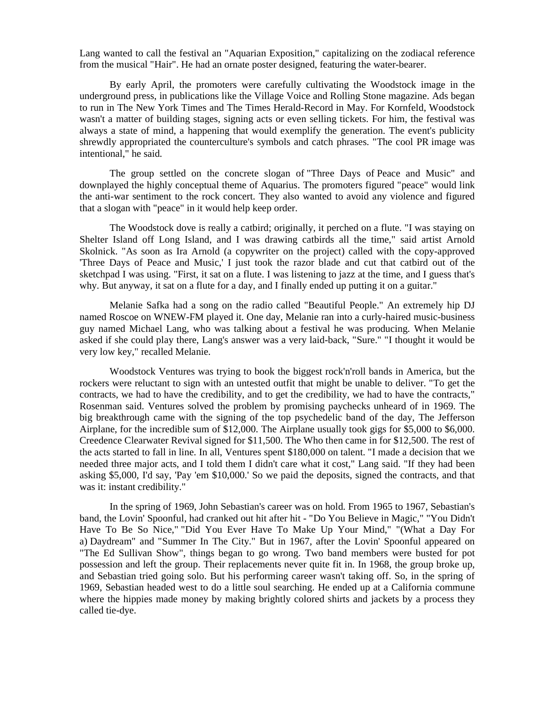Lang wanted to call the festival an "Aquarian Exposition," capitalizing on the zodiacal reference from the musical "Hair". He had an ornate poster designed, featuring the water-bearer.

By early April, the promoters were carefully cultivating the Woodstock image in the underground press, in publications like the Village Voice and Rolling Stone magazine. Ads began to run in The New York Times and The Times Herald-Record in May. For Kornfeld, Woodstock wasn't a matter of building stages, signing acts or even selling tickets. For him, the festival was always a state of mind, a happening that would exemplify the generation. The event's publicity shrewdly appropriated the counterculture's symbols and catch phrases. "The cool PR image was intentional," he said.

 The group settled on the concrete slogan of "Three Days of Peace and Music" and downplayed the highly conceptual theme of Aquarius. The promoters figured "peace" would link the anti-war sentiment to the rock concert. They also wanted to avoid any violence and figured that a slogan with "peace" in it would help keep order.

The Woodstock dove is really a catbird; originally, it perched on a flute. "I was staying on Shelter Island off Long Island, and I was drawing catbirds all the time," said artist Arnold Skolnick. "As soon as Ira Arnold (a copywriter on the project) called with the copy-approved 'Three Days of Peace and Music,' I just took the razor blade and cut that catbird out of the sketchpad I was using. "First, it sat on a flute. I was listening to jazz at the time, and I guess that's why. But anyway, it sat on a flute for a day, and I finally ended up putting it on a guitar."

Melanie Safka had a song on the radio called "Beautiful People." An extremely hip DJ named Roscoe on WNEW-FM played it. One day, Melanie ran into a curly-haired music-business guy named Michael Lang, who was talking about a festival he was producing. When Melanie asked if she could play there, Lang's answer was a very laid-back, "Sure." "I thought it would be very low key," recalled Melanie.

Woodstock Ventures was trying to book the biggest rock'n'roll bands in America, but the rockers were reluctant to sign with an untested outfit that might be unable to deliver. "To get the contracts, we had to have the credibility, and to get the credibility, we had to have the contracts," Rosenman said. Ventures solved the problem by promising paychecks unheard of in 1969. The big breakthrough came with the signing of the top psychedelic band of the day, The Jefferson Airplane, for the incredible sum of \$12,000. The Airplane usually took gigs for \$5,000 to \$6,000. Creedence Clearwater Revival signed for \$11,500. The Who then came in for \$12,500. The rest of the acts started to fall in line. In all, Ventures spent \$180,000 on talent. "I made a decision that we needed three major acts, and I told them I didn't care what it cost," Lang said. "If they had been asking \$5,000, I'd say, 'Pay 'em \$10,000.' So we paid the deposits, signed the contracts, and that was it: instant credibility."

In the spring of 1969, John Sebastian's career was on hold. From 1965 to 1967, Sebastian's band, the Lovin' Spoonful, had cranked out hit after hit - "Do You Believe in Magic," "You Didn't Have To Be So Nice," "Did You Ever Have To Make Up Your Mind," "(What a Day For a) Daydream" and "Summer In The City." But in 1967, after the Lovin' Spoonful appeared on "The Ed Sullivan Show", things began to go wrong. Two band members were busted for pot possession and left the group. Their replacements never quite fit in. In 1968, the group broke up, and Sebastian tried going solo. But his performing career wasn't taking off. So, in the spring of 1969, Sebastian headed west to do a little soul searching. He ended up at a California commune where the hippies made money by making brightly colored shirts and jackets by a process they called tie-dye.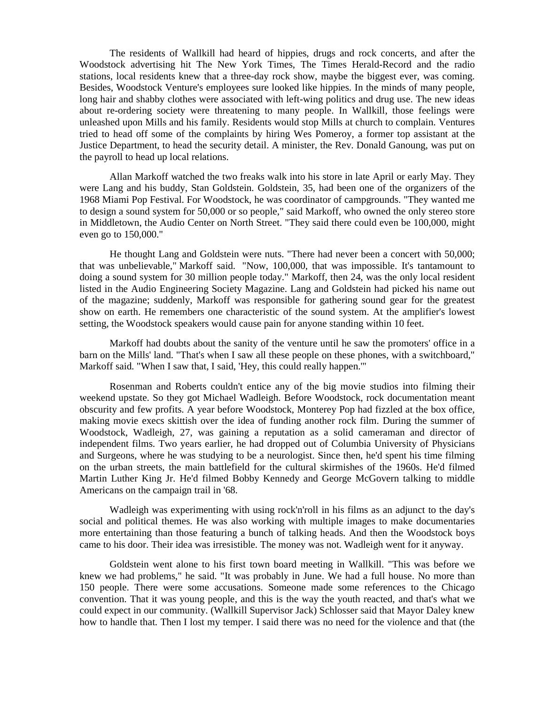The residents of Wallkill had heard of hippies, drugs and rock concerts, and after the Woodstock advertising hit The New York Times, The Times Herald-Record and the radio stations, local residents knew that a three-day rock show, maybe the biggest ever, was coming. Besides, Woodstock Venture's employees sure looked like hippies. In the minds of many people, long hair and shabby clothes were associated with left-wing politics and drug use. The new ideas about re-ordering society were threatening to many people. In Wallkill, those feelings were unleashed upon Mills and his family. Residents would stop Mills at church to complain. Ventures tried to head off some of the complaints by hiring Wes Pomeroy, a former top assistant at the Justice Department, to head the security detail. A minister, the Rev. Donald Ganoung, was put on the payroll to head up local relations.

Allan Markoff watched the two freaks walk into his store in late April or early May. They were Lang and his buddy, Stan Goldstein. Goldstein, 35, had been one of the organizers of the 1968 Miami Pop Festival. For Woodstock, he was coordinator of campgrounds. "They wanted me to design a sound system for 50,000 or so people," said Markoff, who owned the only stereo store in Middletown, the Audio Center on North Street. "They said there could even be 100,000, might even go to 150,000."

He thought Lang and Goldstein were nuts. "There had never been a concert with 50,000; that was unbelievable," Markoff said. "Now, 100,000, that was impossible. It's tantamount to doing a sound system for 30 million people today." Markoff, then 24, was the only local resident listed in the Audio Engineering Society Magazine. Lang and Goldstein had picked his name out of the magazine; suddenly, Markoff was responsible for gathering sound gear for the greatest show on earth. He remembers one characteristic of the sound system. At the amplifier's lowest setting, the Woodstock speakers would cause pain for anyone standing within 10 feet.

Markoff had doubts about the sanity of the venture until he saw the promoters' office in a barn on the Mills' land. "That's when I saw all these people on these phones, with a switchboard," Markoff said. "When I saw that, I said, 'Hey, this could really happen.'"

Rosenman and Roberts couldn't entice any of the big movie studios into filming their weekend upstate. So they got Michael Wadleigh. Before Woodstock, rock documentation meant obscurity and few profits. A year before Woodstock, Monterey Pop had fizzled at the box office, making movie execs skittish over the idea of funding another rock film. During the summer of Woodstock, Wadleigh, 27, was gaining a reputation as a solid cameraman and director of independent films. Two years earlier, he had dropped out of Columbia University of Physicians and Surgeons, where he was studying to be a neurologist. Since then, he'd spent his time filming on the urban streets, the main battlefield for the cultural skirmishes of the 1960s. He'd filmed Martin Luther King Jr. He'd filmed Bobby Kennedy and George McGovern talking to middle Americans on the campaign trail in '68.

Wadleigh was experimenting with using rock'n'roll in his films as an adjunct to the day's social and political themes. He was also working with multiple images to make documentaries more entertaining than those featuring a bunch of talking heads. And then the Woodstock boys came to his door. Their idea was irresistible. The money was not. Wadleigh went for it anyway.

Goldstein went alone to his first town board meeting in Wallkill. "This was before we knew we had problems," he said. "It was probably in June. We had a full house. No more than 150 people. There were some accusations. Someone made some references to the Chicago convention. That it was young people, and this is the way the youth reacted, and that's what we could expect in our community. (Wallkill Supervisor Jack) Schlosser said that Mayor Daley knew how to handle that. Then I lost my temper. I said there was no need for the violence and that (the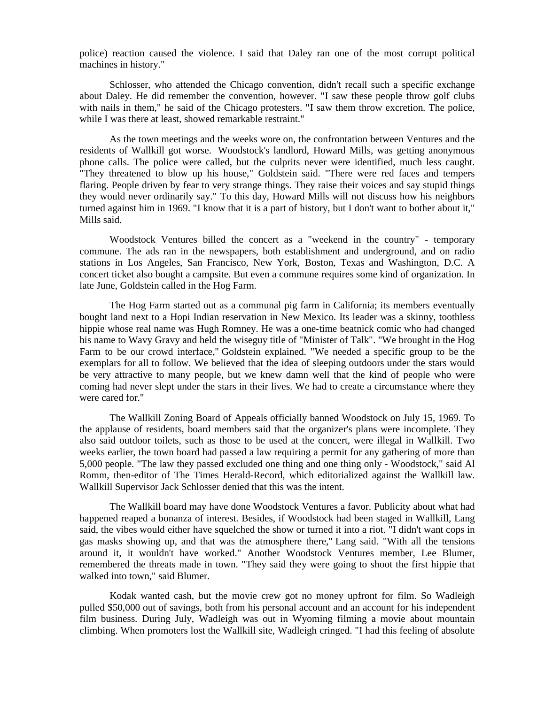police) reaction caused the violence. I said that Daley ran one of the most corrupt political machines in history."

Schlosser, who attended the Chicago convention, didn't recall such a specific exchange about Daley. He did remember the convention, however. "I saw these people throw golf clubs with nails in them," he said of the Chicago protesters. "I saw them throw excretion. The police, while I was there at least, showed remarkable restraint."

As the town meetings and the weeks wore on, the confrontation between Ventures and the residents of Wallkill got worse. Woodstock's landlord, Howard Mills, was getting anonymous phone calls. The police were called, but the culprits never were identified, much less caught. "They threatened to blow up his house," Goldstein said. "There were red faces and tempers flaring. People driven by fear to very strange things. They raise their voices and say stupid things they would never ordinarily say." To this day, Howard Mills will not discuss how his neighbors turned against him in 1969. "I know that it is a part of history, but I don't want to bother about it," Mills said.

Woodstock Ventures billed the concert as a "weekend in the country" - temporary commune. The ads ran in the newspapers, both establishment and underground, and on radio stations in Los Angeles, San Francisco, New York, Boston, Texas and Washington, D.C. A concert ticket also bought a campsite. But even a commune requires some kind of organization. In late June, Goldstein called in the Hog Farm.

The Hog Farm started out as a communal pig farm in California; its members eventually bought land next to a Hopi Indian reservation in New Mexico. Its leader was a skinny, toothless hippie whose real name was Hugh Romney. He was a one-time beatnick comic who had changed his name to Wavy Gravy and held the wiseguy title of "Minister of Talk". "We brought in the Hog Farm to be our crowd interface," Goldstein explained. "We needed a specific group to be the exemplars for all to follow. We believed that the idea of sleeping outdoors under the stars would be very attractive to many people, but we knew damn well that the kind of people who were coming had never slept under the stars in their lives. We had to create a circumstance where they were cared for."

The Wallkill Zoning Board of Appeals officially banned Woodstock on July 15, 1969. To the applause of residents, board members said that the organizer's plans were incomplete. They also said outdoor toilets, such as those to be used at the concert, were illegal in Wallkill. Two weeks earlier, the town board had passed a law requiring a permit for any gathering of more than 5,000 people. "The law they passed excluded one thing and one thing only - Woodstock," said Al Romm, then-editor of The Times Herald-Record, which editorialized against the Wallkill law. Wallkill Supervisor Jack Schlosser denied that this was the intent.

The Wallkill board may have done Woodstock Ventures a favor. Publicity about what had happened reaped a bonanza of interest. Besides, if Woodstock had been staged in Wallkill, Lang said, the vibes would either have squelched the show or turned it into a riot. "I didn't want cops in gas masks showing up, and that was the atmosphere there," Lang said. "With all the tensions around it, it wouldn't have worked." Another Woodstock Ventures member, Lee Blumer, remembered the threats made in town. "They said they were going to shoot the first hippie that walked into town," said Blumer.

Kodak wanted cash, but the movie crew got no money upfront for film. So Wadleigh pulled \$50,000 out of savings, both from his personal account and an account for his independent film business. During July, Wadleigh was out in Wyoming filming a movie about mountain climbing. When promoters lost the Wallkill site, Wadleigh cringed. "I had this feeling of absolute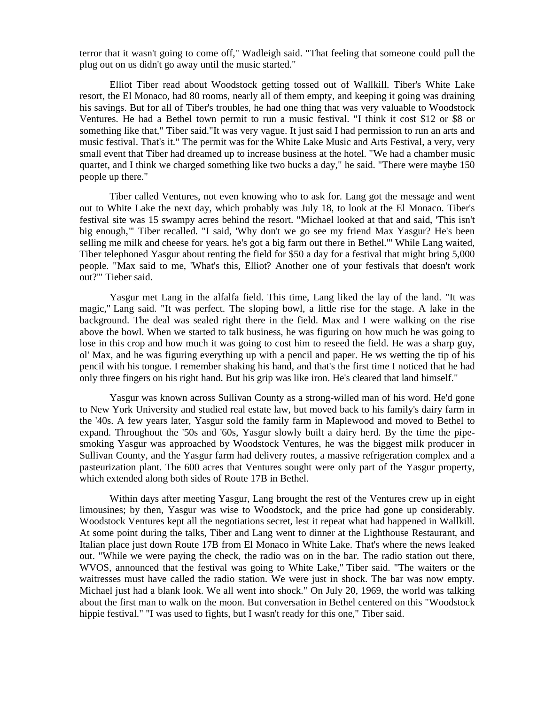terror that it wasn't going to come off," Wadleigh said. "That feeling that someone could pull the plug out on us didn't go away until the music started."

Elliot Tiber read about Woodstock getting tossed out of Wallkill. Tiber's White Lake resort, the El Monaco, had 80 rooms, nearly all of them empty, and keeping it going was draining his savings. But for all of Tiber's troubles, he had one thing that was very valuable to Woodstock Ventures. He had a Bethel town permit to run a music festival. "I think it cost \$12 or \$8 or something like that," Tiber said."It was very vague. It just said I had permission to run an arts and music festival. That's it." The permit was for the White Lake Music and Arts Festival, a very, very small event that Tiber had dreamed up to increase business at the hotel. "We had a chamber music quartet, and I think we charged something like two bucks a day," he said. "There were maybe 150 people up there."

Tiber called Ventures, not even knowing who to ask for. Lang got the message and went out to White Lake the next day, which probably was July 18, to look at the El Monaco. Tiber's festival site was 15 swampy acres behind the resort. "Michael looked at that and said, 'This isn't big enough,'" Tiber recalled. "I said, 'Why don't we go see my friend Max Yasgur? He's been selling me milk and cheese for years. he's got a big farm out there in Bethel.'" While Lang waited, Tiber telephoned Yasgur about renting the field for \$50 a day for a festival that might bring 5,000 people. "Max said to me, 'What's this, Elliot? Another one of your festivals that doesn't work out?'" Tieber said.

Yasgur met Lang in the alfalfa field. This time, Lang liked the lay of the land. "It was magic," Lang said. "It was perfect. The sloping bowl, a little rise for the stage. A lake in the background. The deal was sealed right there in the field. Max and I were walking on the rise above the bowl. When we started to talk business, he was figuring on how much he was going to lose in this crop and how much it was going to cost him to reseed the field. He was a sharp guy, ol' Max, and he was figuring everything up with a pencil and paper. He ws wetting the tip of his pencil with his tongue. I remember shaking his hand, and that's the first time I noticed that he had only three fingers on his right hand. But his grip was like iron. He's cleared that land himself."

Yasgur was known across Sullivan County as a strong-willed man of his word. He'd gone to New York University and studied real estate law, but moved back to his family's dairy farm in the '40s. A few years later, Yasgur sold the family farm in Maplewood and moved to Bethel to expand. Throughout the '50s and '60s, Yasgur slowly built a dairy herd. By the time the pipesmoking Yasgur was approached by Woodstock Ventures, he was the biggest milk producer in Sullivan County, and the Yasgur farm had delivery routes, a massive refrigeration complex and a pasteurization plant. The 600 acres that Ventures sought were only part of the Yasgur property, which extended along both sides of Route 17B in Bethel.

Within days after meeting Yasgur, Lang brought the rest of the Ventures crew up in eight limousines; by then, Yasgur was wise to Woodstock, and the price had gone up considerably. Woodstock Ventures kept all the negotiations secret, lest it repeat what had happened in Wallkill. At some point during the talks, Tiber and Lang went to dinner at the Lighthouse Restaurant, and Italian place just down Route 17B from El Monaco in White Lake. That's where the news leaked out. "While we were paying the check, the radio was on in the bar. The radio station out there, WVOS, announced that the festival was going to White Lake," Tiber said. "The waiters or the waitresses must have called the radio station. We were just in shock. The bar was now empty. Michael just had a blank look. We all went into shock." On July 20, 1969, the world was talking about the first man to walk on the moon. But conversation in Bethel centered on this "Woodstock hippie festival." "I was used to fights, but I wasn't ready for this one," Tiber said.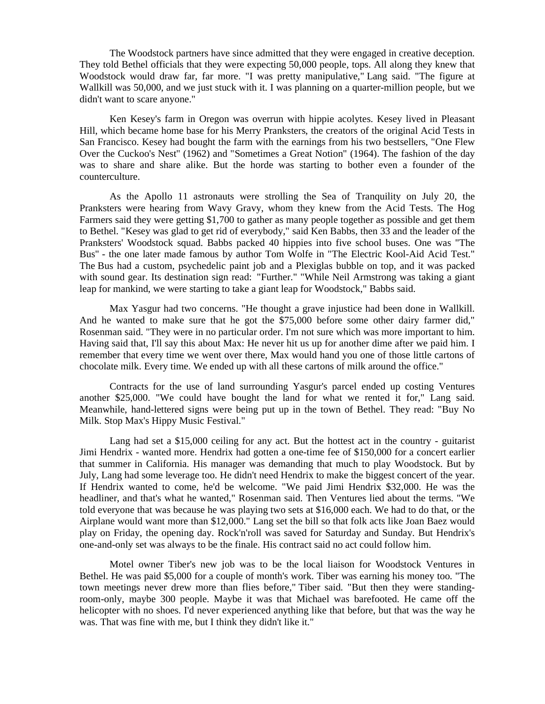The Woodstock partners have since admitted that they were engaged in creative deception. They told Bethel officials that they were expecting 50,000 people, tops. All along they knew that Woodstock would draw far, far more. "I was pretty manipulative," Lang said. "The figure at Wallkill was 50,000, and we just stuck with it. I was planning on a quarter-million people, but we didn't want to scare anyone."

Ken Kesey's farm in Oregon was overrun with hippie acolytes. Kesey lived in Pleasant Hill, which became home base for his Merry Pranksters, the creators of the original Acid Tests in San Francisco. Kesey had bought the farm with the earnings from his two bestsellers, "One Flew Over the Cuckoo's Nest" (1962) and "Sometimes a Great Notion" (1964). The fashion of the day was to share and share alike. But the horde was starting to bother even a founder of the counterculture.

As the Apollo 11 astronauts were strolling the Sea of Tranquility on July 20, the Pranksters were hearing from Wavy Gravy, whom they knew from the Acid Tests. The Hog Farmers said they were getting \$1,700 to gather as many people together as possible and get them to Bethel. "Kesey was glad to get rid of everybody," said Ken Babbs, then 33 and the leader of the Pranksters' Woodstock squad. Babbs packed 40 hippies into five school buses. One was "The Bus" - the one later made famous by author Tom Wolfe in "The Electric Kool-Aid Acid Test." The Bus had a custom, psychedelic paint job and a Plexiglas bubble on top, and it was packed with sound gear. Its destination sign read: "Further." "While Neil Armstrong was taking a giant leap for mankind, we were starting to take a giant leap for Woodstock," Babbs said.

Max Yasgur had two concerns. "He thought a grave injustice had been done in Wallkill. And he wanted to make sure that he got the \$75,000 before some other dairy farmer did," Rosenman said. "They were in no particular order. I'm not sure which was more important to him. Having said that, I'll say this about Max: He never hit us up for another dime after we paid him. I remember that every time we went over there, Max would hand you one of those little cartons of chocolate milk. Every time. We ended up with all these cartons of milk around the office."

Contracts for the use of land surrounding Yasgur's parcel ended up costing Ventures another \$25,000. "We could have bought the land for what we rented it for," Lang said. Meanwhile, hand-lettered signs were being put up in the town of Bethel. They read: "Buy No Milk. Stop Max's Hippy Music Festival."

Lang had set a \$15,000 ceiling for any act. But the hottest act in the country - guitarist Jimi Hendrix - wanted more. Hendrix had gotten a one-time fee of \$150,000 for a concert earlier that summer in California. His manager was demanding that much to play Woodstock. But by July, Lang had some leverage too. He didn't need Hendrix to make the biggest concert of the year. If Hendrix wanted to come, he'd be welcome. "We paid Jimi Hendrix \$32,000. He was the headliner, and that's what he wanted," Rosenman said. Then Ventures lied about the terms. "We told everyone that was because he was playing two sets at \$16,000 each. We had to do that, or the Airplane would want more than \$12,000." Lang set the bill so that folk acts like Joan Baez would play on Friday, the opening day. Rock'n'roll was saved for Saturday and Sunday. But Hendrix's one-and-only set was always to be the finale. His contract said no act could follow him.

Motel owner Tiber's new job was to be the local liaison for Woodstock Ventures in Bethel. He was paid \$5,000 for a couple of month's work. Tiber was earning his money too. "The town meetings never drew more than flies before," Tiber said. "But then they were standingroom-only, maybe 300 people. Maybe it was that Michael was barefooted. He came off the helicopter with no shoes. I'd never experienced anything like that before, but that was the way he was. That was fine with me, but I think they didn't like it."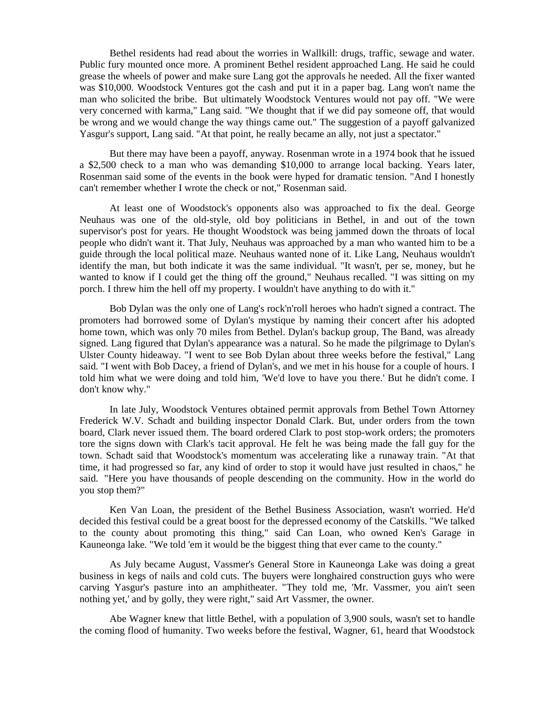Bethel residents had read about the worries in Wallkill: drugs, traffic, sewage and water. Public fury mounted once more. A prominent Bethel resident approached Lang. He said he could grease the wheels of power and make sure Lang got the approvals he needed. All the fixer wanted was \$10,000. Woodstock Ventures got the cash and put it in a paper bag. Lang won't name the man who solicited the bribe. But ultimately Woodstock Ventures would not pay off. "We were very concerned with karma," Lang said. "We thought that if we did pay someone off, that would be wrong and we would change the way things came out." The suggestion of a payoff galvanized Yasgur's support, Lang said. "At that point, he really became an ally, not just a spectator."

But there may have been a payoff, anyway. Rosenman wrote in a 1974 book that he issued a \$2,500 check to a man who was demanding \$10,000 to arrange local backing. Years later, Rosenman said some of the events in the book were hyped for dramatic tension. "And I honestly can't remember whether I wrote the check or not," Rosenman said.

At least one of Woodstock's opponents also was approached to fix the deal. George Neuhaus was one of the old-style, old boy politicians in Bethel, in and out of the town supervisor's post for years. He thought Woodstock was being jammed down the throats of local people who didn't want it. That July, Neuhaus was approached by a man who wanted him to be a guide through the local political maze. Neuhaus wanted none of it. Like Lang, Neuhaus wouldn't identify the man, but both indicate it was the same individual. "It wasn't, per se, money, but he wanted to know if I could get the thing off the ground," Neuhaus recalled. "I was sitting on my porch. I threw him the hell off my property. I wouldn't have anything to do with it."

Bob Dylan was the only one of Lang's rock'n'roll heroes who hadn't signed a contract. The promoters had borrowed some of Dylan's mystique by naming their concert after his adopted home town, which was only 70 miles from Bethel. Dylan's backup group, The Band, was already signed. Lang figured that Dylan's appearance was a natural. So he made the pilgrimage to Dylan's Ulster County hideaway. "I went to see Bob Dylan about three weeks before the festival," Lang said. "I went with Bob Dacey, a friend of Dylan's, and we met in his house for a couple of hours. I told him what we were doing and told him, 'We'd love to have you there.' But he didn't come. I don't know why."

In late July, Woodstock Ventures obtained permit approvals from Bethel Town Attorney Frederick W.V. Schadt and building inspector Donald Clark. But, under orders from the town board, Clark never issued them. The board ordered Clark to post stop-work orders; the promoters tore the signs down with Clark's tacit approval. He felt he was being made the fall guy for the town. Schadt said that Woodstock's momentum was accelerating like a runaway train. "At that time, it had progressed so far, any kind of order to stop it would have just resulted in chaos," he said. "Here you have thousands of people descending on the community. How in the world do you stop them?"

Ken Van Loan, the president of the Bethel Business Association, wasn't worried. He'd decided this festival could be a great boost for the depressed economy of the Catskills. "We talked to the county about promoting this thing," said Can Loan, who owned Ken's Garage in Kauneonga lake. "We told 'em it would be the biggest thing that ever came to the county."

As July became August, Vassmer's General Store in Kauneonga Lake was doing a great business in kegs of nails and cold cuts. The buyers were longhaired construction guys who were carving Yasgur's pasture into an amphitheater. "They told me, 'Mr. Vassmer, you ain't seen nothing yet,' and by golly, they were right," said Art Vassmer, the owner.

Abe Wagner knew that little Bethel, with a population of 3,900 souls, wasn't set to handle the coming flood of humanity. Two weeks before the festival, Wagner, 61, heard that Woodstock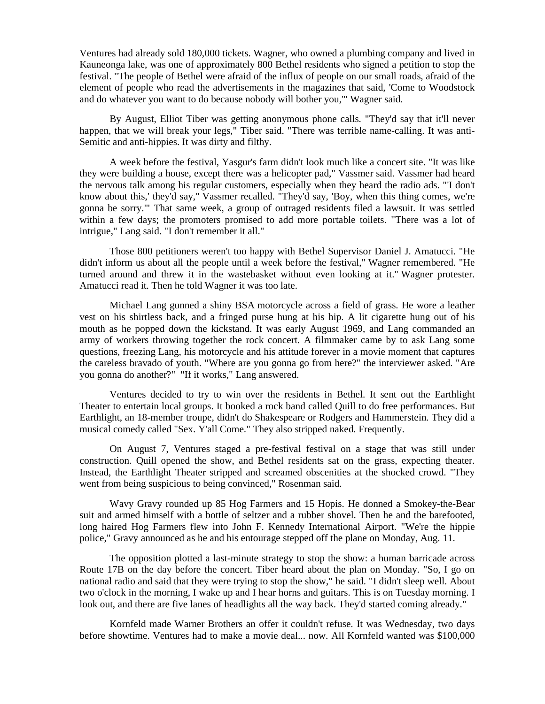Ventures had already sold 180,000 tickets. Wagner, who owned a plumbing company and lived in Kauneonga lake, was one of approximately 800 Bethel residents who signed a petition to stop the festival. "The people of Bethel were afraid of the influx of people on our small roads, afraid of the element of people who read the advertisements in the magazines that said, 'Come to Woodstock and do whatever you want to do because nobody will bother you,'" Wagner said.

By August, Elliot Tiber was getting anonymous phone calls. "They'd say that it'll never happen, that we will break your legs," Tiber said. "There was terrible name-calling. It was anti-Semitic and anti-hippies. It was dirty and filthy.

A week before the festival, Yasgur's farm didn't look much like a concert site. "It was like they were building a house, except there was a helicopter pad," Vassmer said. Vassmer had heard the nervous talk among his regular customers, especially when they heard the radio ads. "'I don't know about this,' they'd say," Vassmer recalled. "They'd say, 'Boy, when this thing comes, we're gonna be sorry.'" That same week, a group of outraged residents filed a lawsuit. It was settled within a few days; the promoters promised to add more portable toilets. "There was a lot of intrigue," Lang said. "I don't remember it all."

Those 800 petitioners weren't too happy with Bethel Supervisor Daniel J. Amatucci. "He didn't inform us about all the people until a week before the festival," Wagner remembered. "He turned around and threw it in the wastebasket without even looking at it." Wagner protester. Amatucci read it. Then he told Wagner it was too late.

Michael Lang gunned a shiny BSA motorcycle across a field of grass. He wore a leather vest on his shirtless back, and a fringed purse hung at his hip. A lit cigarette hung out of his mouth as he popped down the kickstand. It was early August 1969, and Lang commanded an army of workers throwing together the rock concert. A filmmaker came by to ask Lang some questions, freezing Lang, his motorcycle and his attitude forever in a movie moment that captures the careless bravado of youth. "Where are you gonna go from here?" the interviewer asked. "Are you gonna do another?" "If it works," Lang answered.

Ventures decided to try to win over the residents in Bethel. It sent out the Earthlight Theater to entertain local groups. It booked a rock band called Quill to do free performances. But Earthlight, an 18-member troupe, didn't do Shakespeare or Rodgers and Hammerstein. They did a musical comedy called "Sex. Y'all Come." They also stripped naked. Frequently.

On August 7, Ventures staged a pre-festival festival on a stage that was still under construction. Quill opened the show, and Bethel residents sat on the grass, expecting theater. Instead, the Earthlight Theater stripped and screamed obscenities at the shocked crowd. "They went from being suspicious to being convinced," Rosenman said.

Wavy Gravy rounded up 85 Hog Farmers and 15 Hopis. He donned a Smokey-the-Bear suit and armed himself with a bottle of seltzer and a rubber shovel. Then he and the barefooted, long haired Hog Farmers flew into John F. Kennedy International Airport. "We're the hippie police," Gravy announced as he and his entourage stepped off the plane on Monday, Aug. 11.

The opposition plotted a last-minute strategy to stop the show: a human barricade across Route 17B on the day before the concert. Tiber heard about the plan on Monday. "So, I go on national radio and said that they were trying to stop the show," he said. "I didn't sleep well. About two o'clock in the morning, I wake up and I hear horns and guitars. This is on Tuesday morning. I look out, and there are five lanes of headlights all the way back. They'd started coming already."

Kornfeld made Warner Brothers an offer it couldn't refuse. It was Wednesday, two days before showtime. Ventures had to make a movie deal... now. All Kornfeld wanted was \$100,000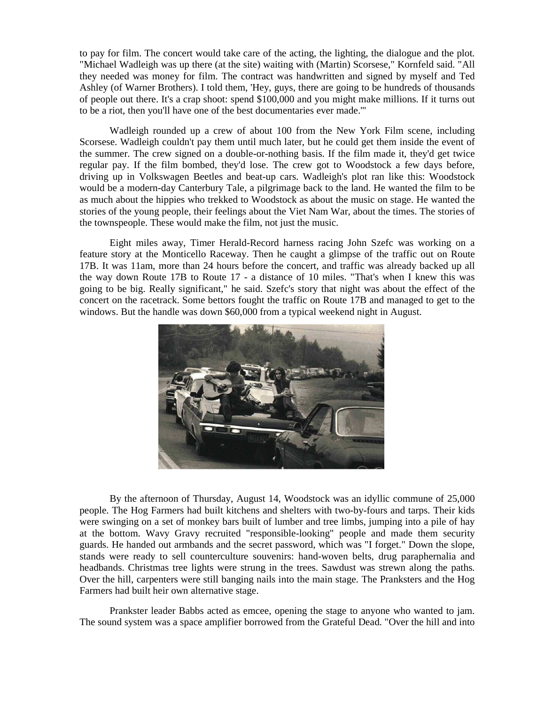to pay for film. The concert would take care of the acting, the lighting, the dialogue and the plot. "Michael Wadleigh was up there (at the site) waiting with (Martin) Scorsese," Kornfeld said. "All they needed was money for film. The contract was handwritten and signed by myself and Ted Ashley (of Warner Brothers). I told them, 'Hey, guys, there are going to be hundreds of thousands of people out there. It's a crap shoot: spend \$100,000 and you might make millions. If it turns out to be a riot, then you'll have one of the best documentaries ever made.'"

Wadleigh rounded up a crew of about 100 from the New York Film scene, including Scorsese. Wadleigh couldn't pay them until much later, but he could get them inside the event of the summer. The crew signed on a double-or-nothing basis. If the film made it, they'd get twice regular pay. If the film bombed, they'd lose. The crew got to Woodstock a few days before, driving up in Volkswagen Beetles and beat-up cars. Wadleigh's plot ran like this: Woodstock would be a modern-day Canterbury Tale, a pilgrimage back to the land. He wanted the film to be as much about the hippies who trekked to Woodstock as about the music on stage. He wanted the stories of the young people, their feelings about the Viet Nam War, about the times. The stories of the townspeople. These would make the film, not just the music.

Eight miles away, Timer Herald-Record harness racing John Szefc was working on a feature story at the Monticello Raceway. Then he caught a glimpse of the traffic out on Route 17B. It was 11am, more than 24 hours before the concert, and traffic was already backed up all the way down Route 17B to Route 17 - a distance of 10 miles. "That's when I knew this was going to be big. Really significant," he said. Szefc's story that night was about the effect of the concert on the racetrack. Some bettors fought the traffic on Route 17B and managed to get to the windows. But the handle was down \$60,000 from a typical weekend night in August.



By the afternoon of Thursday, August 14, Woodstock was an idyllic commune of 25,000 people. The Hog Farmers had built kitchens and shelters with two-by-fours and tarps. Their kids were swinging on a set of monkey bars built of lumber and tree limbs, jumping into a pile of hay at the bottom. Wavy Gravy recruited "responsible-looking" people and made them security guards. He handed out armbands and the secret password, which was "I forget." Down the slope, stands were ready to sell counterculture souvenirs: hand-woven belts, drug paraphernalia and headbands. Christmas tree lights were strung in the trees. Sawdust was strewn along the paths. Over the hill, carpenters were still banging nails into the main stage. The Pranksters and the Hog Farmers had built heir own alternative stage.

Prankster leader Babbs acted as emcee, opening the stage to anyone who wanted to jam. The sound system was a space amplifier borrowed from the Grateful Dead. "Over the hill and into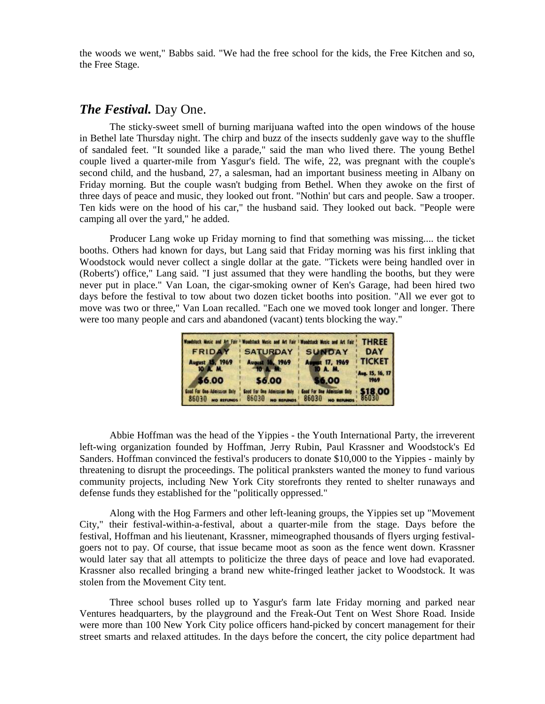the woods we went," Babbs said. "We had the free school for the kids, the Free Kitchen and so, the Free Stage.

## *The Festival.* Day One.

The sticky-sweet smell of burning marijuana wafted into the open windows of the house in Bethel late Thursday night. The chirp and buzz of the insects suddenly gave way to the shuffle of sandaled feet. "It sounded like a parade," said the man who lived there. The young Bethel couple lived a quarter-mile from Yasgur's field. The wife, 22, was pregnant with the couple's second child, and the husband, 27, a salesman, had an important business meeting in Albany on Friday morning. But the couple wasn't budging from Bethel. When they awoke on the first of three days of peace and music, they looked out front. "Nothin' but cars and people. Saw a trooper. Ten kids were on the hood of his car," the husband said. They looked out back. "People were camping all over the yard," he added.

Producer Lang woke up Friday morning to find that something was missing.... the ticket booths. Others had known for days, but Lang said that Friday morning was his first inkling that Woodstock would never collect a single dollar at the gate. "Tickets were being handled over in (Roberts') office," Lang said. "I just assumed that they were handling the booths, but they were never put in place." Van Loan, the cigar-smoking owner of Ken's Garage, had been hired two days before the festival to tow about two dozen ticket booths into position. "All we ever got to move was two or three," Van Loan recalled. "Each one we moved took longer and longer. There were too many people and cars and abandoned (vacant) tents blocking the way."

|                                                    | Woodstack Music and Art Fair * Woodstack Music and Art Fair * Woodstack Music and Art Fair |                                       | <b>THREE</b>     |
|----------------------------------------------------|--------------------------------------------------------------------------------------------|---------------------------------------|------------------|
| <b>FRIDAY</b>                                      | <b>SATURDAY</b>                                                                            | <b>SUNDAY</b>                         | DAY              |
| <b>August 15, 1969</b>                             | <b>August 16, 1969</b>                                                                     | August 17, 1969                       | <b>TICKET</b>    |
| 10 K. M.                                           | <b>10 A.M.</b>                                                                             | <b>10 A. M.</b>                       | 'Aug. 15, 16, 17 |
| \$6.00                                             | \$6.00                                                                                     | \$6.00                                | 1969             |
| Good For One-Admission Baty<br>86030<br>NO REFUNDS | <b>Good For One Admission Only</b><br>86030 но верное                                      | Good For time Admission Galy<br>86030 |                  |

Abbie Hoffman was the head of the Yippies - the Youth International Party, the irreverent left-wing organization founded by Hoffman, Jerry Rubin, Paul Krassner and Woodstock's Ed Sanders. Hoffman convinced the festival's producers to donate \$10,000 to the Yippies - mainly by threatening to disrupt the proceedings. The political pranksters wanted the money to fund various community projects, including New York City storefronts they rented to shelter runaways and defense funds they established for the "politically oppressed."

Along with the Hog Farmers and other left-leaning groups, the Yippies set up "Movement City," their festival-within-a-festival, about a quarter-mile from the stage. Days before the festival, Hoffman and his lieutenant, Krassner, mimeographed thousands of flyers urging festivalgoers not to pay. Of course, that issue became moot as soon as the fence went down. Krassner would later say that all attempts to politicize the three days of peace and love had evaporated. Krassner also recalled bringing a brand new white-fringed leather jacket to Woodstock. It was stolen from the Movement City tent.

Three school buses rolled up to Yasgur's farm late Friday morning and parked near Ventures headquarters, by the playground and the Freak-Out Tent on West Shore Road. Inside were more than 100 New York City police officers hand-picked by concert management for their street smarts and relaxed attitudes. In the days before the concert, the city police department had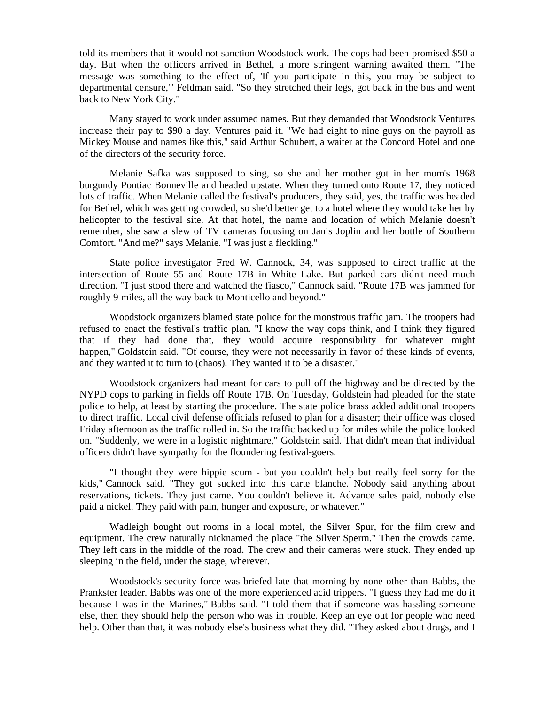told its members that it would not sanction Woodstock work. The cops had been promised \$50 a day. But when the officers arrived in Bethel, a more stringent warning awaited them. "The message was something to the effect of, 'If you participate in this, you may be subject to departmental censure,'" Feldman said. "So they stretched their legs, got back in the bus and went back to New York City."

Many stayed to work under assumed names. But they demanded that Woodstock Ventures increase their pay to \$90 a day. Ventures paid it. "We had eight to nine guys on the payroll as Mickey Mouse and names like this," said Arthur Schubert, a waiter at the Concord Hotel and one of the directors of the security force.

Melanie Safka was supposed to sing, so she and her mother got in her mom's 1968 burgundy Pontiac Bonneville and headed upstate. When they turned onto Route 17, they noticed lots of traffic. When Melanie called the festival's producers, they said, yes, the traffic was headed for Bethel, which was getting crowded, so she'd better get to a hotel where they would take her by helicopter to the festival site. At that hotel, the name and location of which Melanie doesn't remember, she saw a slew of TV cameras focusing on Janis Joplin and her bottle of Southern Comfort. "And me?" says Melanie. "I was just a fleckling."

State police investigator Fred W. Cannock, 34, was supposed to direct traffic at the intersection of Route 55 and Route 17B in White Lake. But parked cars didn't need much direction. "I just stood there and watched the fiasco," Cannock said. "Route 17B was jammed for roughly 9 miles, all the way back to Monticello and beyond."

Woodstock organizers blamed state police for the monstrous traffic jam. The troopers had refused to enact the festival's traffic plan. "I know the way cops think, and I think they figured that if they had done that, they would acquire responsibility for whatever might happen," Goldstein said. "Of course, they were not necessarily in favor of these kinds of events, and they wanted it to turn to (chaos). They wanted it to be a disaster."

Woodstock organizers had meant for cars to pull off the highway and be directed by the NYPD cops to parking in fields off Route 17B. On Tuesday, Goldstein had pleaded for the state police to help, at least by starting the procedure. The state police brass added additional troopers to direct traffic. Local civil defense officials refused to plan for a disaster; their office was closed Friday afternoon as the traffic rolled in. So the traffic backed up for miles while the police looked on. "Suddenly, we were in a logistic nightmare," Goldstein said. That didn't mean that individual officers didn't have sympathy for the floundering festival-goers.

"I thought they were hippie scum - but you couldn't help but really feel sorry for the kids," Cannock said. "They got sucked into this carte blanche. Nobody said anything about reservations, tickets. They just came. You couldn't believe it. Advance sales paid, nobody else paid a nickel. They paid with pain, hunger and exposure, or whatever."

Wadleigh bought out rooms in a local motel, the Silver Spur, for the film crew and equipment. The crew naturally nicknamed the place "the Silver Sperm." Then the crowds came. They left cars in the middle of the road. The crew and their cameras were stuck. They ended up sleeping in the field, under the stage, wherever.

Woodstock's security force was briefed late that morning by none other than Babbs, the Prankster leader. Babbs was one of the more experienced acid trippers. "I guess they had me do it because I was in the Marines," Babbs said. "I told them that if someone was hassling someone else, then they should help the person who was in trouble. Keep an eye out for people who need help. Other than that, it was nobody else's business what they did. "They asked about drugs, and I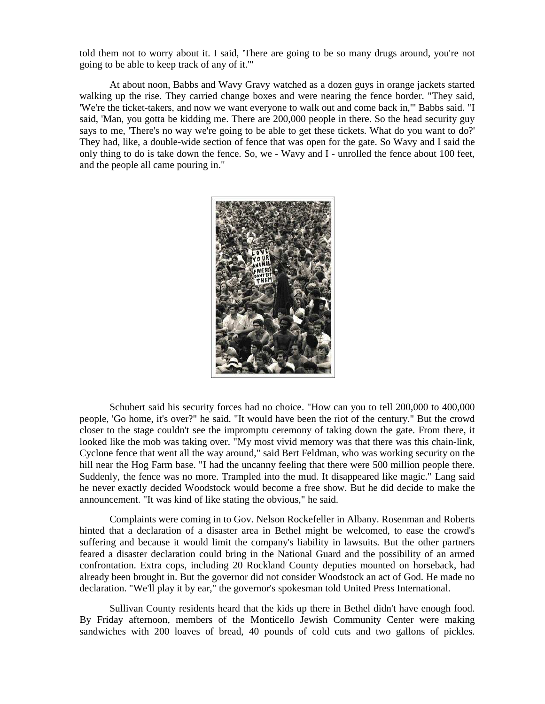told them not to worry about it. I said, 'There are going to be so many drugs around, you're not going to be able to keep track of any of it.'"

At about noon, Babbs and Wavy Gravy watched as a dozen guys in orange jackets started walking up the rise. They carried change boxes and were nearing the fence border. "They said, 'We're the ticket-takers, and now we want everyone to walk out and come back in,'" Babbs said. "I said, 'Man, you gotta be kidding me. There are 200,000 people in there. So the head security guy says to me, 'There's no way we're going to be able to get these tickets. What do you want to do?' They had, like, a double-wide section of fence that was open for the gate. So Wavy and I said the only thing to do is take down the fence. So, we - Wavy and I - unrolled the fence about 100 feet, and the people all came pouring in."



Schubert said his security forces had no choice. "How can you to tell 200,000 to 400,000 people, 'Go home, it's over?" he said. "It would have been the riot of the century." But the crowd closer to the stage couldn't see the impromptu ceremony of taking down the gate. From there, it looked like the mob was taking over. "My most vivid memory was that there was this chain-link, Cyclone fence that went all the way around," said Bert Feldman, who was working security on the hill near the Hog Farm base. "I had the uncanny feeling that there were 500 million people there. Suddenly, the fence was no more. Trampled into the mud. It disappeared like magic." Lang said he never exactly decided Woodstock would become a free show. But he did decide to make the announcement. "It was kind of like stating the obvious," he said.

Complaints were coming in to Gov. Nelson Rockefeller in Albany. Rosenman and Roberts hinted that a declaration of a disaster area in Bethel might be welcomed, to ease the crowd's suffering and because it would limit the company's liability in lawsuits. But the other partners feared a disaster declaration could bring in the National Guard and the possibility of an armed confrontation. Extra cops, including 20 Rockland County deputies mounted on horseback, had already been brought in. But the governor did not consider Woodstock an act of God. He made no declaration. "We'll play it by ear," the governor's spokesman told United Press International.

Sullivan County residents heard that the kids up there in Bethel didn't have enough food. By Friday afternoon, members of the Monticello Jewish Community Center were making sandwiches with 200 loaves of bread, 40 pounds of cold cuts and two gallons of pickles.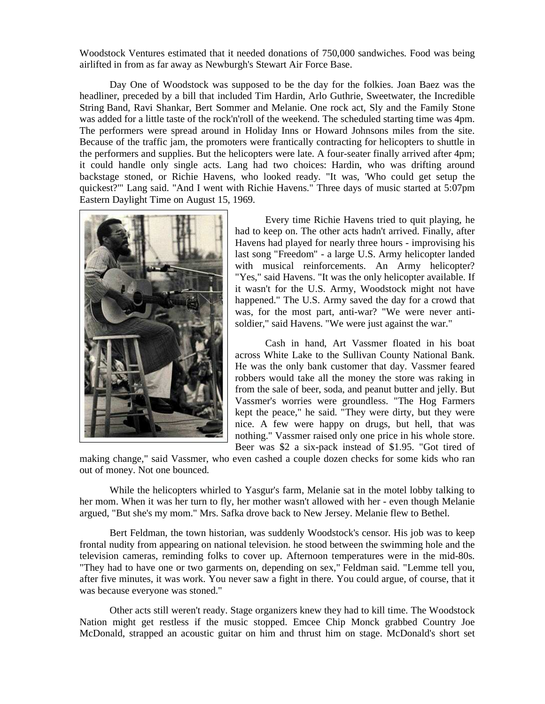Woodstock Ventures estimated that it needed donations of 750,000 sandwiches. Food was being airlifted in from as far away as Newburgh's Stewart Air Force Base.

Day One of Woodstock was supposed to be the day for the folkies. Joan Baez was the headliner, preceded by a bill that included Tim Hardin, Arlo Guthrie, Sweetwater, the Incredible String Band, Ravi Shankar, Bert Sommer and Melanie. One rock act, Sly and the Family Stone was added for a little taste of the rock'n'roll of the weekend. The scheduled starting time was 4pm. The performers were spread around in Holiday Inns or Howard Johnsons miles from the site. Because of the traffic jam, the promoters were frantically contracting for helicopters to shuttle in the performers and supplies. But the helicopters were late. A four-seater finally arrived after 4pm; it could handle only single acts. Lang had two choices: Hardin, who was drifting around backstage stoned, or Richie Havens, who looked ready. "It was, 'Who could get setup the quickest?'" Lang said. "And I went with Richie Havens." Three days of music started at 5:07pm Eastern Daylight Time on August 15, 1969.



Every time Richie Havens tried to quit playing, he had to keep on. The other acts hadn't arrived. Finally, after Havens had played for nearly three hours - improvising his last song "Freedom" - a large U.S. Army helicopter landed with musical reinforcements. An Army helicopter? "Yes," said Havens. "It was the only helicopter available. If it wasn't for the U.S. Army, Woodstock might not have happened." The U.S. Army saved the day for a crowd that was, for the most part, anti-war? "We were never antisoldier," said Havens. "We were just against the war."

Cash in hand, Art Vassmer floated in his boat across White Lake to the Sullivan County National Bank. He was the only bank customer that day. Vassmer feared robbers would take all the money the store was raking in from the sale of beer, soda, and peanut butter and jelly. But Vassmer's worries were groundless. "The Hog Farmers kept the peace," he said. "They were dirty, but they were nice. A few were happy on drugs, but hell, that was nothing." Vassmer raised only one price in his whole store. Beer was \$2 a six-pack instead of \$1.95. "Got tired of

making change," said Vassmer, who even cashed a couple dozen checks for some kids who ran out of money. Not one bounced.

While the helicopters whirled to Yasgur's farm, Melanie sat in the motel lobby talking to her mom. When it was her turn to fly, her mother wasn't allowed with her - even though Melanie argued, "But she's my mom." Mrs. Safka drove back to New Jersey. Melanie flew to Bethel.

Bert Feldman, the town historian, was suddenly Woodstock's censor. His job was to keep frontal nudity from appearing on national television. he stood between the swimming hole and the television cameras, reminding folks to cover up. Afternoon temperatures were in the mid-80s. "They had to have one or two garments on, depending on sex," Feldman said. "Lemme tell you, after five minutes, it was work. You never saw a fight in there. You could argue, of course, that it was because everyone was stoned."

Other acts still weren't ready. Stage organizers knew they had to kill time. The Woodstock Nation might get restless if the music stopped. Emcee Chip Monck grabbed Country Joe McDonald, strapped an acoustic guitar on him and thrust him on stage. McDonald's short set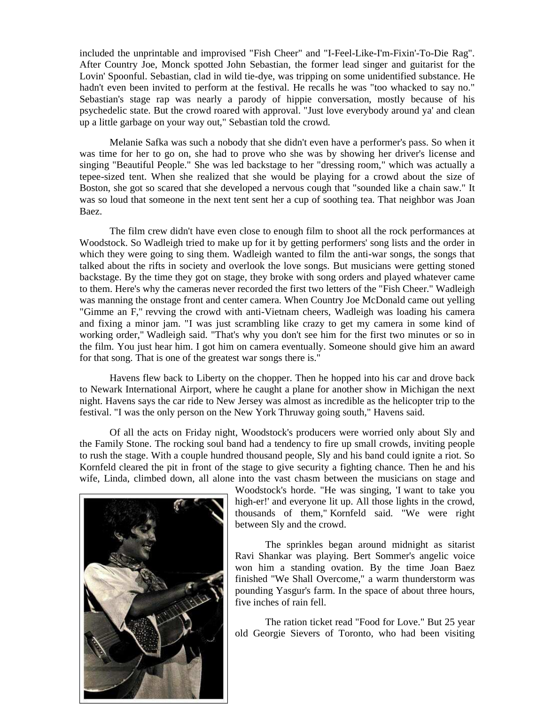included the unprintable and improvised "Fish Cheer" and "I-Feel-Like-I'm-Fixin'-To-Die Rag". After Country Joe, Monck spotted John Sebastian, the former lead singer and guitarist for the Lovin' Spoonful. Sebastian, clad in wild tie-dye, was tripping on some unidentified substance. He hadn't even been invited to perform at the festival. He recalls he was "too whacked to say no." Sebastian's stage rap was nearly a parody of hippie conversation, mostly because of his psychedelic state. But the crowd roared with approval. "Just love everybody around ya' and clean up a little garbage on your way out," Sebastian told the crowd.

Melanie Safka was such a nobody that she didn't even have a performer's pass. So when it was time for her to go on, she had to prove who she was by showing her driver's license and singing "Beautiful People." She was led backstage to her "dressing room," which was actually a tepee-sized tent. When she realized that she would be playing for a crowd about the size of Boston, she got so scared that she developed a nervous cough that "sounded like a chain saw." It was so loud that someone in the next tent sent her a cup of soothing tea. That neighbor was Joan Baez.

The film crew didn't have even close to enough film to shoot all the rock performances at Woodstock. So Wadleigh tried to make up for it by getting performers' song lists and the order in which they were going to sing them. Wadleigh wanted to film the anti-war songs, the songs that talked about the rifts in society and overlook the love songs. But musicians were getting stoned backstage. By the time they got on stage, they broke with song orders and played whatever came to them. Here's why the cameras never recorded the first two letters of the "Fish Cheer." Wadleigh was manning the onstage front and center camera. When Country Joe McDonald came out yelling "Gimme an F," revving the crowd with anti-Vietnam cheers, Wadleigh was loading his camera and fixing a minor jam. "I was just scrambling like crazy to get my camera in some kind of working order," Wadleigh said. "That's why you don't see him for the first two minutes or so in the film. You just hear him. I got him on camera eventually. Someone should give him an award for that song. That is one of the greatest war songs there is."

Havens flew back to Liberty on the chopper. Then he hopped into his car and drove back to Newark International Airport, where he caught a plane for another show in Michigan the next night. Havens says the car ride to New Jersey was almost as incredible as the helicopter trip to the festival. "I was the only person on the New York Thruway going south," Havens said.

Of all the acts on Friday night, Woodstock's producers were worried only about Sly and the Family Stone. The rocking soul band had a tendency to fire up small crowds, inviting people to rush the stage. With a couple hundred thousand people, Sly and his band could ignite a riot. So Kornfeld cleared the pit in front of the stage to give security a fighting chance. Then he and his wife, Linda, climbed down, all alone into the vast chasm between the musicians on stage and



Woodstock's horde. "He was singing, 'I want to take you high-er!' and everyone lit up. All those lights in the crowd, thousands of them," Kornfeld said. "We were right between Sly and the crowd.

The sprinkles began around midnight as sitarist Ravi Shankar was playing. Bert Sommer's angelic voice won him a standing ovation. By the time Joan Baez finished "We Shall Overcome," a warm thunderstorm was pounding Yasgur's farm. In the space of about three hours, five inches of rain fell.

The ration ticket read "Food for Love." But 25 year old Georgie Sievers of Toronto, who had been visiting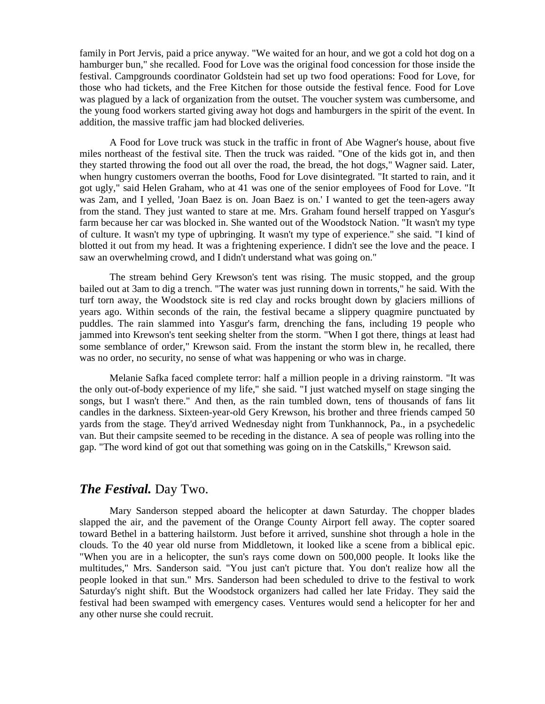family in Port Jervis, paid a price anyway. "We waited for an hour, and we got a cold hot dog on a hamburger bun," she recalled. Food for Love was the original food concession for those inside the festival. Campgrounds coordinator Goldstein had set up two food operations: Food for Love, for those who had tickets, and the Free Kitchen for those outside the festival fence. Food for Love was plagued by a lack of organization from the outset. The voucher system was cumbersome, and the young food workers started giving away hot dogs and hamburgers in the spirit of the event. In addition, the massive traffic jam had blocked deliveries.

A Food for Love truck was stuck in the traffic in front of Abe Wagner's house, about five miles northeast of the festival site. Then the truck was raided. "One of the kids got in, and then they started throwing the food out all over the road, the bread, the hot dogs," Wagner said. Later, when hungry customers overran the booths, Food for Love disintegrated. "It started to rain, and it got ugly," said Helen Graham, who at 41 was one of the senior employees of Food for Love. "It was 2am, and I yelled, 'Joan Baez is on. Joan Baez is on.' I wanted to get the teen-agers away from the stand. They just wanted to stare at me. Mrs. Graham found herself trapped on Yasgur's farm because her car was blocked in. She wanted out of the Woodstock Nation. "It wasn't my type of culture. It wasn't my type of upbringing. It wasn't my type of experience." she said. "I kind of blotted it out from my head. It was a frightening experience. I didn't see the love and the peace. I saw an overwhelming crowd, and I didn't understand what was going on."

The stream behind Gery Krewson's tent was rising. The music stopped, and the group bailed out at 3am to dig a trench. "The water was just running down in torrents," he said. With the turf torn away, the Woodstock site is red clay and rocks brought down by glaciers millions of years ago. Within seconds of the rain, the festival became a slippery quagmire punctuated by puddles. The rain slammed into Yasgur's farm, drenching the fans, including 19 people who jammed into Krewson's tent seeking shelter from the storm. "When I got there, things at least had some semblance of order," Krewson said. From the instant the storm blew in, he recalled, there was no order, no security, no sense of what was happening or who was in charge.

Melanie Safka faced complete terror: half a million people in a driving rainstorm. "It was the only out-of-body experience of my life," she said. "I just watched myself on stage singing the songs, but I wasn't there." And then, as the rain tumbled down, tens of thousands of fans lit candles in the darkness. Sixteen-year-old Gery Krewson, his brother and three friends camped 50 yards from the stage. They'd arrived Wednesday night from Tunkhannock, Pa., in a psychedelic van. But their campsite seemed to be receding in the distance. A sea of people was rolling into the gap. "The word kind of got out that something was going on in the Catskills," Krewson said.

### *The Festival.* Day Two.

Mary Sanderson stepped aboard the helicopter at dawn Saturday. The chopper blades slapped the air, and the pavement of the Orange County Airport fell away. The copter soared toward Bethel in a battering hailstorm. Just before it arrived, sunshine shot through a hole in the clouds. To the 40 year old nurse from Middletown, it looked like a scene from a biblical epic. "When you are in a helicopter, the sun's rays come down on 500,000 people. It looks like the multitudes," Mrs. Sanderson said. "You just can't picture that. You don't realize how all the people looked in that sun." Mrs. Sanderson had been scheduled to drive to the festival to work Saturday's night shift. But the Woodstock organizers had called her late Friday. They said the festival had been swamped with emergency cases. Ventures would send a helicopter for her and any other nurse she could recruit.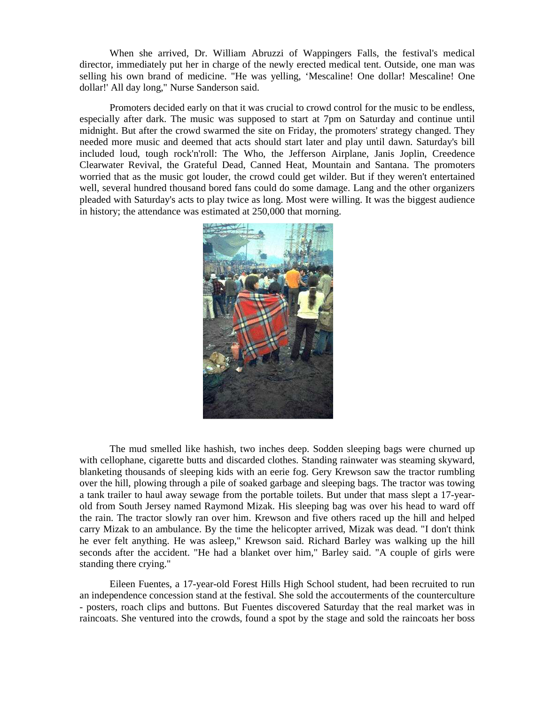When she arrived, Dr. William Abruzzi of Wappingers Falls, the festival's medical director, immediately put her in charge of the newly erected medical tent. Outside, one man was selling his own brand of medicine. "He was yelling, 'Mescaline! One dollar! Mescaline! One dollar!' All day long," Nurse Sanderson said.

Promoters decided early on that it was crucial to crowd control for the music to be endless, especially after dark. The music was supposed to start at 7pm on Saturday and continue until midnight. But after the crowd swarmed the site on Friday, the promoters' strategy changed. They needed more music and deemed that acts should start later and play until dawn. Saturday's bill included loud, tough rock'n'roll: The Who, the Jefferson Airplane, Janis Joplin, Creedence Clearwater Revival, the Grateful Dead, Canned Heat, Mountain and Santana. The promoters worried that as the music got louder, the crowd could get wilder. But if they weren't entertained well, several hundred thousand bored fans could do some damage. Lang and the other organizers pleaded with Saturday's acts to play twice as long. Most were willing. It was the biggest audience in history; the attendance was estimated at 250,000 that morning.



The mud smelled like hashish, two inches deep. Sodden sleeping bags were churned up with cellophane, cigarette butts and discarded clothes. Standing rainwater was steaming skyward, blanketing thousands of sleeping kids with an eerie fog. Gery Krewson saw the tractor rumbling over the hill, plowing through a pile of soaked garbage and sleeping bags. The tractor was towing a tank trailer to haul away sewage from the portable toilets. But under that mass slept a 17-yearold from South Jersey named Raymond Mizak. His sleeping bag was over his head to ward off the rain. The tractor slowly ran over him. Krewson and five others raced up the hill and helped carry Mizak to an ambulance. By the time the helicopter arrived, Mizak was dead. "I don't think he ever felt anything. He was asleep," Krewson said. Richard Barley was walking up the hill seconds after the accident. "He had a blanket over him," Barley said. "A couple of girls were standing there crying."

Eileen Fuentes, a 17-year-old Forest Hills High School student, had been recruited to run an independence concession stand at the festival. She sold the accouterments of the counterculture - posters, roach clips and buttons. But Fuentes discovered Saturday that the real market was in raincoats. She ventured into the crowds, found a spot by the stage and sold the raincoats her boss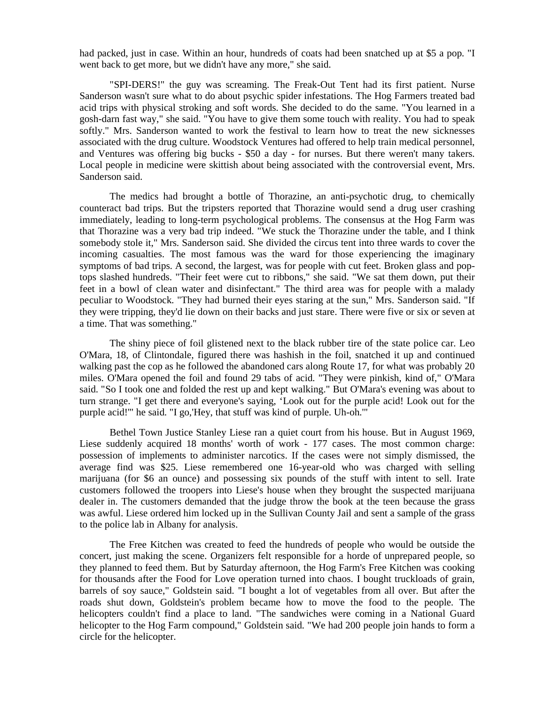had packed, just in case. Within an hour, hundreds of coats had been snatched up at \$5 a pop. "I went back to get more, but we didn't have any more," she said.

"SPI-DERS!" the guy was screaming. The Freak-Out Tent had its first patient. Nurse Sanderson wasn't sure what to do about psychic spider infestations. The Hog Farmers treated bad acid trips with physical stroking and soft words. She decided to do the same. "You learned in a gosh-darn fast way," she said. "You have to give them some touch with reality. You had to speak softly." Mrs. Sanderson wanted to work the festival to learn how to treat the new sicknesses associated with the drug culture. Woodstock Ventures had offered to help train medical personnel, and Ventures was offering big bucks - \$50 a day - for nurses. But there weren't many takers. Local people in medicine were skittish about being associated with the controversial event, Mrs. Sanderson said.

The medics had brought a bottle of Thorazine, an anti-psychotic drug, to chemically counteract bad trips. But the tripsters reported that Thorazine would send a drug user crashing immediately, leading to long-term psychological problems. The consensus at the Hog Farm was that Thorazine was a very bad trip indeed. "We stuck the Thorazine under the table, and I think somebody stole it," Mrs. Sanderson said. She divided the circus tent into three wards to cover the incoming casualties. The most famous was the ward for those experiencing the imaginary symptoms of bad trips. A second, the largest, was for people with cut feet. Broken glass and poptops slashed hundreds. "Their feet were cut to ribbons," she said. "We sat them down, put their feet in a bowl of clean water and disinfectant." The third area was for people with a malady peculiar to Woodstock. "They had burned their eyes staring at the sun," Mrs. Sanderson said. "If they were tripping, they'd lie down on their backs and just stare. There were five or six or seven at a time. That was something."

The shiny piece of foil glistened next to the black rubber tire of the state police car. Leo O'Mara, 18, of Clintondale, figured there was hashish in the foil, snatched it up and continued walking past the cop as he followed the abandoned cars along Route 17, for what was probably 20 miles. O'Mara opened the foil and found 29 tabs of acid. "They were pinkish, kind of," O'Mara said. "So I took one and folded the rest up and kept walking." But O'Mara's evening was about to turn strange. "I get there and everyone's saying, 'Look out for the purple acid! Look out for the purple acid!'" he said. "I go,'Hey, that stuff was kind of purple. Uh-oh.'"

Bethel Town Justice Stanley Liese ran a quiet court from his house. But in August 1969, Liese suddenly acquired 18 months' worth of work - 177 cases. The most common charge: possession of implements to administer narcotics. If the cases were not simply dismissed, the average find was \$25. Liese remembered one 16-year-old who was charged with selling marijuana (for \$6 an ounce) and possessing six pounds of the stuff with intent to sell. Irate customers followed the troopers into Liese's house when they brought the suspected marijuana dealer in. The customers demanded that the judge throw the book at the teen because the grass was awful. Liese ordered him locked up in the Sullivan County Jail and sent a sample of the grass to the police lab in Albany for analysis.

The Free Kitchen was created to feed the hundreds of people who would be outside the concert, just making the scene. Organizers felt responsible for a horde of unprepared people, so they planned to feed them. But by Saturday afternoon, the Hog Farm's Free Kitchen was cooking for thousands after the Food for Love operation turned into chaos. I bought truckloads of grain, barrels of soy sauce," Goldstein said. "I bought a lot of vegetables from all over. But after the roads shut down, Goldstein's problem became how to move the food to the people. The helicopters couldn't find a place to land. "The sandwiches were coming in a National Guard helicopter to the Hog Farm compound," Goldstein said. "We had 200 people join hands to form a circle for the helicopter.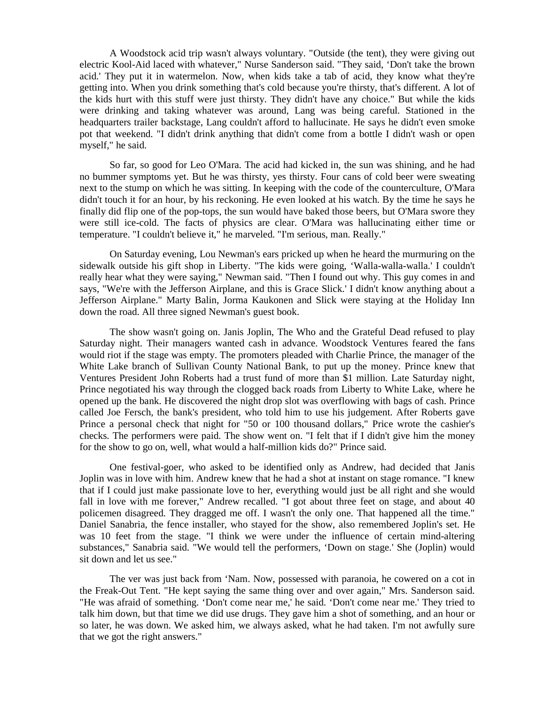A Woodstock acid trip wasn't always voluntary. "Outside (the tent), they were giving out electric Kool-Aid laced with whatever," Nurse Sanderson said. "They said, 'Don't take the brown acid.' They put it in watermelon. Now, when kids take a tab of acid, they know what they're getting into. When you drink something that's cold because you're thirsty, that's different. A lot of the kids hurt with this stuff were just thirsty. They didn't have any choice." But while the kids were drinking and taking whatever was around, Lang was being careful. Stationed in the headquarters trailer backstage, Lang couldn't afford to hallucinate. He says he didn't even smoke pot that weekend. "I didn't drink anything that didn't come from a bottle I didn't wash or open myself," he said.

So far, so good for Leo O'Mara. The acid had kicked in, the sun was shining, and he had no bummer symptoms yet. But he was thirsty, yes thirsty. Four cans of cold beer were sweating next to the stump on which he was sitting. In keeping with the code of the counterculture, O'Mara didn't touch it for an hour, by his reckoning. He even looked at his watch. By the time he says he finally did flip one of the pop-tops, the sun would have baked those beers, but O'Mara swore they were still ice-cold. The facts of physics are clear. O'Mara was hallucinating either time or temperature. "I couldn't believe it," he marveled. "I'm serious, man. Really."

On Saturday evening, Lou Newman's ears pricked up when he heard the murmuring on the sidewalk outside his gift shop in Liberty. "The kids were going, 'Walla-walla-walla.' I couldn't really hear what they were saying," Newman said. "Then I found out why. This guy comes in and says, "We're with the Jefferson Airplane, and this is Grace Slick.' I didn't know anything about a Jefferson Airplane." Marty Balin, Jorma Kaukonen and Slick were staying at the Holiday Inn down the road. All three signed Newman's guest book.

The show wasn't going on. Janis Joplin, The Who and the Grateful Dead refused to play Saturday night. Their managers wanted cash in advance. Woodstock Ventures feared the fans would riot if the stage was empty. The promoters pleaded with Charlie Prince, the manager of the White Lake branch of Sullivan County National Bank, to put up the money. Prince knew that Ventures President John Roberts had a trust fund of more than \$1 million. Late Saturday night, Prince negotiated his way through the clogged back roads from Liberty to White Lake, where he opened up the bank. He discovered the night drop slot was overflowing with bags of cash. Prince called Joe Fersch, the bank's president, who told him to use his judgement. After Roberts gave Prince a personal check that night for "50 or 100 thousand dollars," Price wrote the cashier's checks. The performers were paid. The show went on. "I felt that if I didn't give him the money for the show to go on, well, what would a half-million kids do?" Prince said.

One festival-goer, who asked to be identified only as Andrew, had decided that Janis Joplin was in love with him. Andrew knew that he had a shot at instant on stage romance. "I knew that if I could just make passionate love to her, everything would just be all right and she would fall in love with me forever," Andrew recalled. "I got about three feet on stage, and about 40 policemen disagreed. They dragged me off. I wasn't the only one. That happened all the time." Daniel Sanabria, the fence installer, who stayed for the show, also remembered Joplin's set. He was 10 feet from the stage. "I think we were under the influence of certain mind-altering substances," Sanabria said. "We would tell the performers, 'Down on stage.' She (Joplin) would sit down and let us see."

The ver was just back from 'Nam. Now, possessed with paranoia, he cowered on a cot in the Freak-Out Tent. "He kept saying the same thing over and over again," Mrs. Sanderson said. "He was afraid of something. 'Don't come near me,' he said. 'Don't come near me.' They tried to talk him down, but that time we did use drugs. They gave him a shot of something, and an hour or so later, he was down. We asked him, we always asked, what he had taken. I'm not awfully sure that we got the right answers."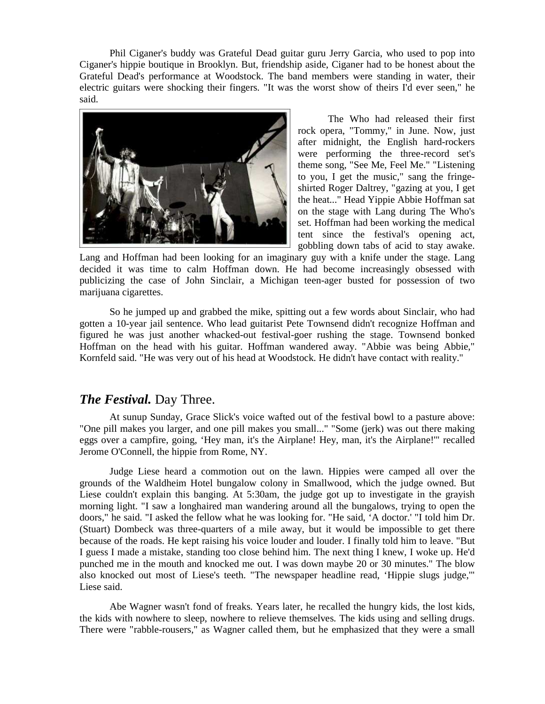Phil Ciganer's buddy was Grateful Dead guitar guru Jerry Garcia, who used to pop into Ciganer's hippie boutique in Brooklyn. But, friendship aside, Ciganer had to be honest about the Grateful Dead's performance at Woodstock. The band members were standing in water, their electric guitars were shocking their fingers. "It was the worst show of theirs I'd ever seen," he said.



The Who had released their first rock opera, "Tommy," in June. Now, just after midnight, the English hard-rockers were performing the three-record set's theme song, "See Me, Feel Me." "Listening to you, I get the music," sang the fringeshirted Roger Daltrey, "gazing at you, I get the heat..." Head Yippie Abbie Hoffman sat on the stage with Lang during The Who's set. Hoffman had been working the medical tent since the festival's opening act, gobbling down tabs of acid to stay awake.

Lang and Hoffman had been looking for an imaginary guy with a knife under the stage. Lang decided it was time to calm Hoffman down. He had become increasingly obsessed with publicizing the case of John Sinclair, a Michigan teen-ager busted for possession of two marijuana cigarettes.

So he jumped up and grabbed the mike, spitting out a few words about Sinclair, who had gotten a 10-year jail sentence. Who lead guitarist Pete Townsend didn't recognize Hoffman and figured he was just another whacked-out festival-goer rushing the stage. Townsend bonked Hoffman on the head with his guitar. Hoffman wandered away. "Abbie was being Abbie," Kornfeld said. "He was very out of his head at Woodstock. He didn't have contact with reality."

# *The Festival.* Day Three.

At sunup Sunday, Grace Slick's voice wafted out of the festival bowl to a pasture above: "One pill makes you larger, and one pill makes you small..." "Some (jerk) was out there making eggs over a campfire, going, 'Hey man, it's the Airplane! Hey, man, it's the Airplane!'" recalled Jerome O'Connell, the hippie from Rome, NY.

Judge Liese heard a commotion out on the lawn. Hippies were camped all over the grounds of the Waldheim Hotel bungalow colony in Smallwood, which the judge owned. But Liese couldn't explain this banging. At 5:30am, the judge got up to investigate in the grayish morning light. "I saw a longhaired man wandering around all the bungalows, trying to open the doors," he said. "I asked the fellow what he was looking for. "He said, 'A doctor.' "I told him Dr. (Stuart) Dombeck was three-quarters of a mile away, but it would be impossible to get there because of the roads. He kept raising his voice louder and louder. I finally told him to leave. "But I guess I made a mistake, standing too close behind him. The next thing I knew, I woke up. He'd punched me in the mouth and knocked me out. I was down maybe 20 or 30 minutes." The blow also knocked out most of Liese's teeth. "The newspaper headline read, 'Hippie slugs judge,'" Liese said.

Abe Wagner wasn't fond of freaks. Years later, he recalled the hungry kids, the lost kids, the kids with nowhere to sleep, nowhere to relieve themselves. The kids using and selling drugs. There were "rabble-rousers," as Wagner called them, but he emphasized that they were a small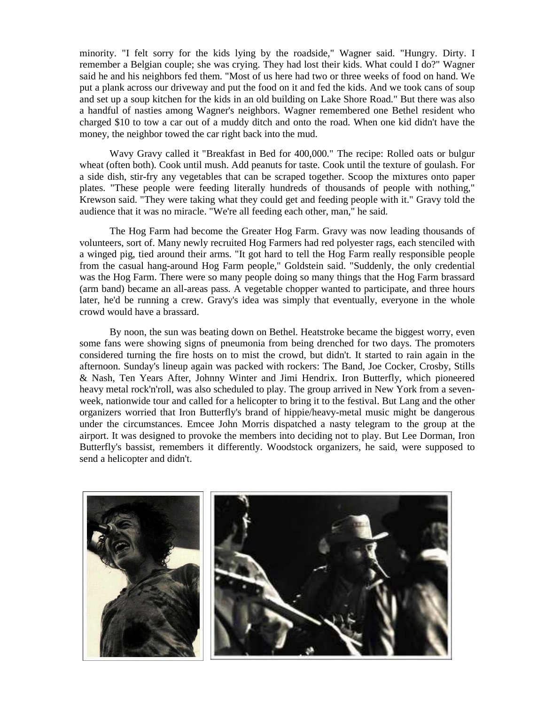minority. "I felt sorry for the kids lying by the roadside," Wagner said. "Hungry. Dirty. I remember a Belgian couple; she was crying. They had lost their kids. What could I do?" Wagner said he and his neighbors fed them. "Most of us here had two or three weeks of food on hand. We put a plank across our driveway and put the food on it and fed the kids. And we took cans of soup and set up a soup kitchen for the kids in an old building on Lake Shore Road." But there was also a handful of nasties among Wagner's neighbors. Wagner remembered one Bethel resident who charged \$10 to tow a car out of a muddy ditch and onto the road. When one kid didn't have the money, the neighbor towed the car right back into the mud.

Wavy Gravy called it "Breakfast in Bed for 400,000." The recipe: Rolled oats or bulgur wheat (often both). Cook until mush. Add peanuts for taste. Cook until the texture of goulash. For a side dish, stir-fry any vegetables that can be scraped together. Scoop the mixtures onto paper plates. "These people were feeding literally hundreds of thousands of people with nothing," Krewson said. "They were taking what they could get and feeding people with it." Gravy told the audience that it was no miracle. "We're all feeding each other, man," he said.

The Hog Farm had become the Greater Hog Farm. Gravy was now leading thousands of volunteers, sort of. Many newly recruited Hog Farmers had red polyester rags, each stenciled with a winged pig, tied around their arms. "It got hard to tell the Hog Farm really responsible people from the casual hang-around Hog Farm people," Goldstein said. "Suddenly, the only credential was the Hog Farm. There were so many people doing so many things that the Hog Farm brassard (arm band) became an all-areas pass. A vegetable chopper wanted to participate, and three hours later, he'd be running a crew. Gravy's idea was simply that eventually, everyone in the whole crowd would have a brassard.

By noon, the sun was beating down on Bethel. Heatstroke became the biggest worry, even some fans were showing signs of pneumonia from being drenched for two days. The promoters considered turning the fire hosts on to mist the crowd, but didn't. It started to rain again in the afternoon. Sunday's lineup again was packed with rockers: The Band, Joe Cocker, Crosby, Stills & Nash, Ten Years After, Johnny Winter and Jimi Hendrix. Iron Butterfly, which pioneered heavy metal rock'n'roll, was also scheduled to play. The group arrived in New York from a sevenweek, nationwide tour and called for a helicopter to bring it to the festival. But Lang and the other organizers worried that Iron Butterfly's brand of hippie/heavy-metal music might be dangerous under the circumstances. Emcee John Morris dispatched a nasty telegram to the group at the airport. It was designed to provoke the members into deciding not to play. But Lee Dorman, Iron Butterfly's bassist, remembers it differently. Woodstock organizers, he said, were supposed to send a helicopter and didn't.

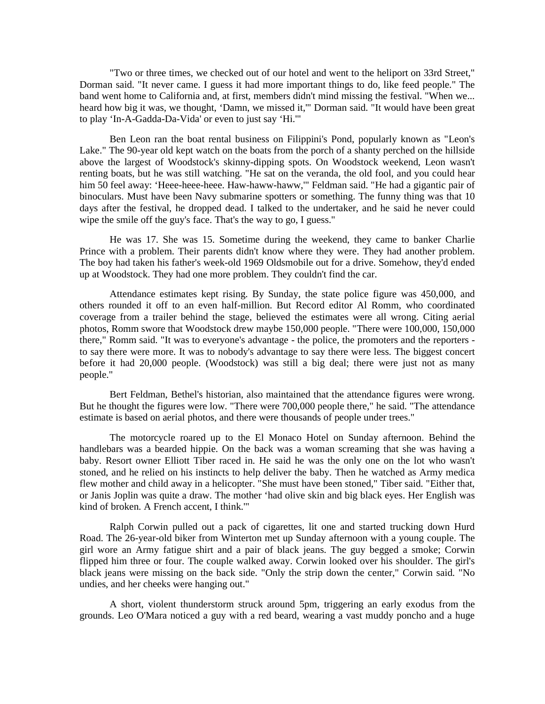"Two or three times, we checked out of our hotel and went to the heliport on 33rd Street," Dorman said. "It never came. I guess it had more important things to do, like feed people." The band went home to California and, at first, members didn't mind missing the festival. "When we... heard how big it was, we thought, 'Damn, we missed it,'" Dorman said. "It would have been great to play 'In-A-Gadda-Da-Vida' or even to just say 'Hi.'"

Ben Leon ran the boat rental business on Filippini's Pond, popularly known as "Leon's Lake." The 90-year old kept watch on the boats from the porch of a shanty perched on the hillside above the largest of Woodstock's skinny-dipping spots. On Woodstock weekend, Leon wasn't renting boats, but he was still watching. "He sat on the veranda, the old fool, and you could hear him 50 feel away: 'Heee-heee-heee. Haw-haww-haww,'" Feldman said. "He had a gigantic pair of binoculars. Must have been Navy submarine spotters or something. The funny thing was that 10 days after the festival, he dropped dead. I talked to the undertaker, and he said he never could wipe the smile off the guy's face. That's the way to go, I guess."

He was 17. She was 15. Sometime during the weekend, they came to banker Charlie Prince with a problem. Their parents didn't know where they were. They had another problem. The boy had taken his father's week-old 1969 Oldsmobile out for a drive. Somehow, they'd ended up at Woodstock. They had one more problem. They couldn't find the car.

Attendance estimates kept rising. By Sunday, the state police figure was 450,000, and others rounded it off to an even half-million. But Record editor Al Romm, who coordinated coverage from a trailer behind the stage, believed the estimates were all wrong. Citing aerial photos, Romm swore that Woodstock drew maybe 150,000 people. "There were 100,000, 150,000 there," Romm said. "It was to everyone's advantage - the police, the promoters and the reporters to say there were more. It was to nobody's advantage to say there were less. The biggest concert before it had 20,000 people. (Woodstock) was still a big deal; there were just not as many people."

Bert Feldman, Bethel's historian, also maintained that the attendance figures were wrong. But he thought the figures were low. "There were 700,000 people there," he said. "The attendance estimate is based on aerial photos, and there were thousands of people under trees."

The motorcycle roared up to the El Monaco Hotel on Sunday afternoon. Behind the handlebars was a bearded hippie. On the back was a woman screaming that she was having a baby. Resort owner Elliott Tiber raced in. He said he was the only one on the lot who wasn't stoned, and he relied on his instincts to help deliver the baby. Then he watched as Army medica flew mother and child away in a helicopter. "She must have been stoned," Tiber said. "Either that, or Janis Joplin was quite a draw. The mother 'had olive skin and big black eyes. Her English was kind of broken. A French accent, I think.'"

Ralph Corwin pulled out a pack of cigarettes, lit one and started trucking down Hurd Road. The 26-year-old biker from Winterton met up Sunday afternoon with a young couple. The girl wore an Army fatigue shirt and a pair of black jeans. The guy begged a smoke; Corwin flipped him three or four. The couple walked away. Corwin looked over his shoulder. The girl's black jeans were missing on the back side. "Only the strip down the center," Corwin said. "No undies, and her cheeks were hanging out."

A short, violent thunderstorm struck around 5pm, triggering an early exodus from the grounds. Leo O'Mara noticed a guy with a red beard, wearing a vast muddy poncho and a huge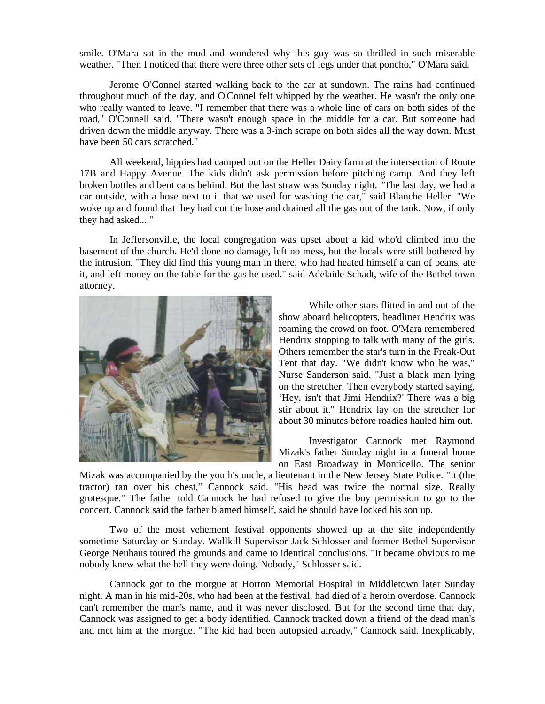smile. O'Mara sat in the mud and wondered why this guy was so thrilled in such miserable weather. "Then I noticed that there were three other sets of legs under that poncho," O'Mara said.

Jerome O'Connel started walking back to the car at sundown. The rains had continued throughout much of the day, and O'Connel felt whipped by the weather. He wasn't the only one who really wanted to leave. "I remember that there was a whole line of cars on both sides of the road," O'Connell said. "There wasn't enough space in the middle for a car. But someone had driven down the middle anyway. There was a 3-inch scrape on both sides all the way down. Must have been 50 cars scratched."

All weekend, hippies had camped out on the Heller Dairy farm at the intersection of Route 17B and Happy Avenue. The kids didn't ask permission before pitching camp. And they left broken bottles and bent cans behind. But the last straw was Sunday night. "The last day, we had a car outside, with a hose next to it that we used for washing the car," said Blanche Heller. "We woke up and found that they had cut the hose and drained all the gas out of the tank. Now, if only they had asked...."

In Jeffersonville, the local congregation was upset about a kid who'd climbed into the basement of the church. He'd done no damage, left no mess, but the locals were still bothered by the intrusion. "They did find this young man in there, who had heated himself a can of beans, ate it, and left money on the table for the gas he used." said Adelaide Schadt, wife of the Bethel town attorney.



While other stars flitted in and out of the show aboard helicopters, headliner Hendrix was roaming the crowd on foot. O'Mara remembered Hendrix stopping to talk with many of the girls. Others remember the star's turn in the Freak-Out Tent that day. "We didn't know who he was," Nurse Sanderson said. "Just a black man lying on the stretcher. Then everybody started saying, 'Hey, isn't that Jimi Hendrix?' There was a big stir about it." Hendrix lay on the stretcher for about 30 minutes before roadies hauled him out.

Investigator Cannock met Raymond Mizak's father Sunday night in a funeral home on East Broadway in Monticello. The senior

Mizak was accompanied by the youth's uncle, a lieutenant in the New Jersey State Police. "It (the tractor) ran over his chest," Cannock said. "His head was twice the normal size. Really grotesque." The father told Cannock he had refused to give the boy permission to go to the concert. Cannock said the father blamed himself, said he should have locked his son up.

Two of the most vehement festival opponents showed up at the site independently sometime Saturday or Sunday. Wallkill Supervisor Jack Schlosser and former Bethel Supervisor George Neuhaus toured the grounds and came to identical conclusions. "It became obvious to me nobody knew what the hell they were doing. Nobody," Schlosser said.

Cannock got to the morgue at Horton Memorial Hospital in Middletown later Sunday night. A man in his mid-20s, who had been at the festival, had died of a heroin overdose. Cannock can't remember the man's name, and it was never disclosed. But for the second time that day, Cannock was assigned to get a body identified. Cannock tracked down a friend of the dead man's and met him at the morgue. "The kid had been autopsied already," Cannock said. Inexplicably,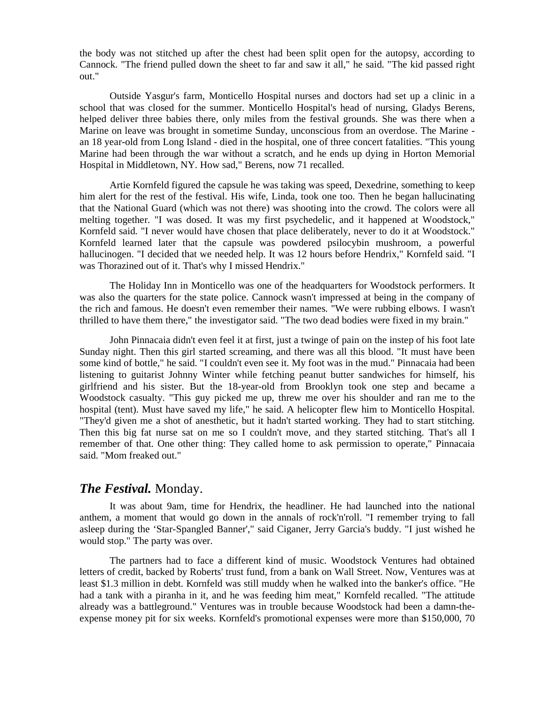the body was not stitched up after the chest had been split open for the autopsy, according to Cannock. "The friend pulled down the sheet to far and saw it all," he said. "The kid passed right out."

Outside Yasgur's farm, Monticello Hospital nurses and doctors had set up a clinic in a school that was closed for the summer. Monticello Hospital's head of nursing, Gladys Berens, helped deliver three babies there, only miles from the festival grounds. She was there when a Marine on leave was brought in sometime Sunday, unconscious from an overdose. The Marine an 18 year-old from Long Island - died in the hospital, one of three concert fatalities. "This young Marine had been through the war without a scratch, and he ends up dying in Horton Memorial Hospital in Middletown, NY. How sad," Berens, now 71 recalled.

Artie Kornfeld figured the capsule he was taking was speed, Dexedrine, something to keep him alert for the rest of the festival. His wife, Linda, took one too. Then he began hallucinating that the National Guard (which was not there) was shooting into the crowd. The colors were all melting together. "I was dosed. It was my first psychedelic, and it happened at Woodstock," Kornfeld said. "I never would have chosen that place deliberately, never to do it at Woodstock." Kornfeld learned later that the capsule was powdered psilocybin mushroom, a powerful hallucinogen. "I decided that we needed help. It was 12 hours before Hendrix," Kornfeld said. "I was Thorazined out of it. That's why I missed Hendrix."

The Holiday Inn in Monticello was one of the headquarters for Woodstock performers. It was also the quarters for the state police. Cannock wasn't impressed at being in the company of the rich and famous. He doesn't even remember their names. "We were rubbing elbows. I wasn't thrilled to have them there," the investigator said. "The two dead bodies were fixed in my brain."

John Pinnacaia didn't even feel it at first, just a twinge of pain on the instep of his foot late Sunday night. Then this girl started screaming, and there was all this blood. "It must have been some kind of bottle," he said. "I couldn't even see it. My foot was in the mud." Pinnacaia had been listening to guitarist Johnny Winter while fetching peanut butter sandwiches for himself, his girlfriend and his sister. But the 18-year-old from Brooklyn took one step and became a Woodstock casualty. "This guy picked me up, threw me over his shoulder and ran me to the hospital (tent). Must have saved my life," he said. A helicopter flew him to Monticello Hospital. "They'd given me a shot of anesthetic, but it hadn't started working. They had to start stitching. Then this big fat nurse sat on me so I couldn't move, and they started stitching. That's all I remember of that. One other thing: They called home to ask permission to operate," Pinnacaia said. "Mom freaked out."

### *The Festival.* Monday.

It was about 9am, time for Hendrix, the headliner. He had launched into the national anthem, a moment that would go down in the annals of rock'n'roll. "I remember trying to fall asleep during the 'Star-Spangled Banner'," said Ciganer, Jerry Garcia's buddy. "I just wished he would stop." The party was over.

The partners had to face a different kind of music. Woodstock Ventures had obtained letters of credit, backed by Roberts' trust fund, from a bank on Wall Street. Now, Ventures was at least \$1.3 million in debt. Kornfeld was still muddy when he walked into the banker's office. "He had a tank with a piranha in it, and he was feeding him meat," Kornfeld recalled. "The attitude already was a battleground." Ventures was in trouble because Woodstock had been a damn-theexpense money pit for six weeks. Kornfeld's promotional expenses were more than \$150,000, 70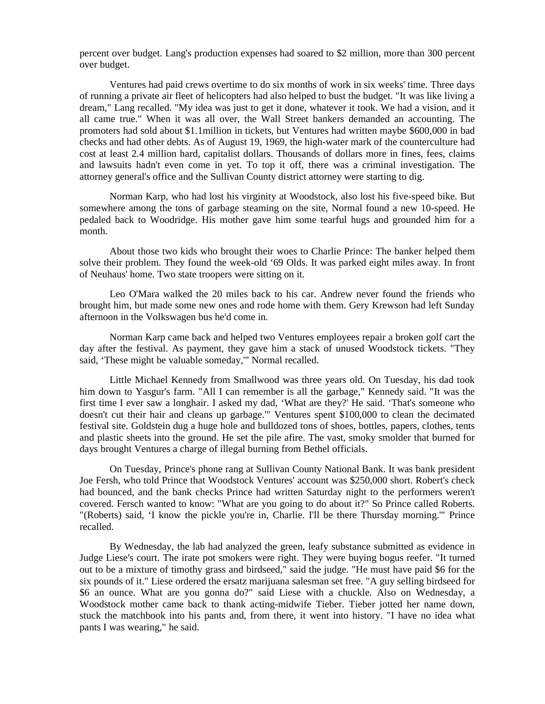percent over budget. Lang's production expenses had soared to \$2 million, more than 300 percent over budget.

Ventures had paid crews overtime to do six months of work in six weeks' time. Three days of running a private air fleet of helicopters had also helped to bust the budget. "It was like living a dream," Lang recalled. "My idea was just to get it done, whatever it took. We had a vision, and it all came true." When it was all over, the Wall Street bankers demanded an accounting. The promoters had sold about \$1.1million in tickets, but Ventures had written maybe \$600,000 in bad checks and had other debts. As of August 19, 1969, the high-water mark of the counterculture had cost at least 2.4 million hard, capitalist dollars. Thousands of dollars more in fines, fees, claims and lawsuits hadn't even come in yet. To top it off, there was a criminal investigation. The attorney general's office and the Sullivan County district attorney were starting to dig.

Norman Karp, who had lost his virginity at Woodstock, also lost his five-speed bike. But somewhere among the tons of garbage steaming on the site, Normal found a new 10-speed. He pedaled back to Woodridge. His mother gave him some tearful hugs and grounded him for a month.

About those two kids who brought their woes to Charlie Prince: The banker helped them solve their problem. They found the week-old '69 Olds. It was parked eight miles away. In front of Neuhaus' home. Two state troopers were sitting on it.

Leo O'Mara walked the 20 miles back to his car. Andrew never found the friends who brought him, but made some new ones and rode home with them. Gery Krewson had left Sunday afternoon in the Volkswagen bus he'd come in.

Norman Karp came back and helped two Ventures employees repair a broken golf cart the day after the festival. As payment, they gave him a stack of unused Woodstock tickets. "They said, 'These might be valuable someday,'" Normal recalled.

Little Michael Kennedy from Smallwood was three years old. On Tuesday, his dad took him down to Yasgur's farm. "All I can remember is all the garbage," Kennedy said. "It was the first time I ever saw a longhair. I asked my dad, 'What are they?' He said. 'That's someone who doesn't cut their hair and cleans up garbage.'" Ventures spent \$100,000 to clean the decimated festival site. Goldstein dug a huge hole and bulldozed tons of shoes, bottles, papers, clothes, tents and plastic sheets into the ground. He set the pile afire. The vast, smoky smolder that burned for days brought Ventures a charge of illegal burning from Bethel officials.

On Tuesday, Prince's phone rang at Sullivan County National Bank. It was bank president Joe Fersh, who told Prince that Woodstock Ventures' account was \$250,000 short. Robert's check had bounced, and the bank checks Prince had written Saturday night to the performers weren't covered. Fersch wanted to know: "What are you going to do about it?" So Prince called Roberts. "(Roberts) said, 'I know the pickle you're in, Charlie. I'll be there Thursday morning.'" Prince recalled.

By Wednesday, the lab had analyzed the green, leafy substance submitted as evidence in Judge Liese's court. The irate pot smokers were right. They were buying bogus reefer. "It turned out to be a mixture of timothy grass and birdseed," said the judge. "He must have paid \$6 for the six pounds of it." Liese ordered the ersatz marijuana salesman set free. "A guy selling birdseed for \$6 an ounce. What are you gonna do?" said Liese with a chuckle. Also on Wednesday, a Woodstock mother came back to thank acting-midwife Tieber. Tieber jotted her name down, stuck the matchbook into his pants and, from there, it went into history. "I have no idea what pants I was wearing," he said.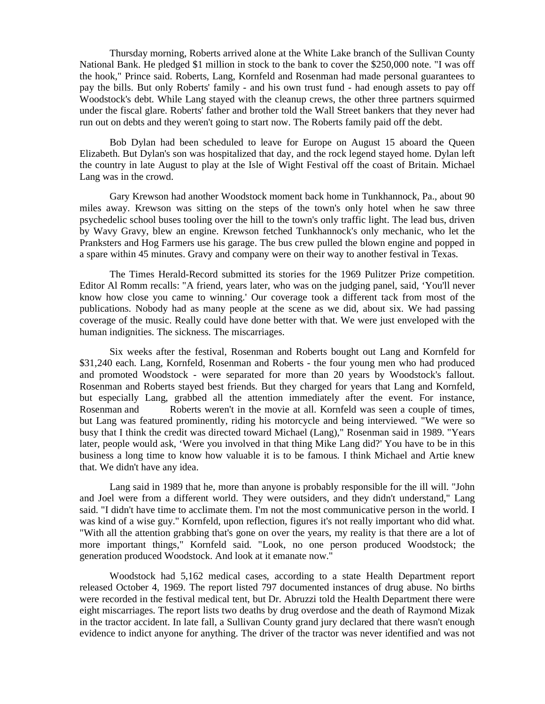Thursday morning, Roberts arrived alone at the White Lake branch of the Sullivan County National Bank. He pledged \$1 million in stock to the bank to cover the \$250,000 note. "I was off the hook," Prince said. Roberts, Lang, Kornfeld and Rosenman had made personal guarantees to pay the bills. But only Roberts' family - and his own trust fund - had enough assets to pay off Woodstock's debt. While Lang stayed with the cleanup crews, the other three partners squirmed under the fiscal glare. Roberts' father and brother told the Wall Street bankers that they never had run out on debts and they weren't going to start now. The Roberts family paid off the debt.

Bob Dylan had been scheduled to leave for Europe on August 15 aboard the Queen Elizabeth. But Dylan's son was hospitalized that day, and the rock legend stayed home. Dylan left the country in late August to play at the Isle of Wight Festival off the coast of Britain. Michael Lang was in the crowd.

Gary Krewson had another Woodstock moment back home in Tunkhannock, Pa., about 90 miles away. Krewson was sitting on the steps of the town's only hotel when he saw three psychedelic school buses tooling over the hill to the town's only traffic light. The lead bus, driven by Wavy Gravy, blew an engine. Krewson fetched Tunkhannock's only mechanic, who let the Pranksters and Hog Farmers use his garage. The bus crew pulled the blown engine and popped in a spare within 45 minutes. Gravy and company were on their way to another festival in Texas.

The Times Herald-Record submitted its stories for the 1969 Pulitzer Prize competition. Editor Al Romm recalls: "A friend, years later, who was on the judging panel, said, 'You'll never know how close you came to winning.' Our coverage took a different tack from most of the publications. Nobody had as many people at the scene as we did, about six. We had passing coverage of the music. Really could have done better with that. We were just enveloped with the human indignities. The sickness. The miscarriages.

Six weeks after the festival, Rosenman and Roberts bought out Lang and Kornfeld for \$31,240 each. Lang, Kornfeld, Rosenman and Roberts - the four young men who had produced and promoted Woodstock - were separated for more than 20 years by Woodstock's fallout. Rosenman and Roberts stayed best friends. But they charged for years that Lang and Kornfeld, but especially Lang, grabbed all the attention immediately after the event. For instance, Rosenman and Roberts weren't in the movie at all. Kornfeld was seen a couple of times, but Lang was featured prominently, riding his motorcycle and being interviewed. "We were so busy that I think the credit was directed toward Michael (Lang)," Rosenman said in 1989. "Years later, people would ask, 'Were you involved in that thing Mike Lang did?' You have to be in this business a long time to know how valuable it is to be famous. I think Michael and Artie knew that. We didn't have any idea.

Lang said in 1989 that he, more than anyone is probably responsible for the ill will. "John and Joel were from a different world. They were outsiders, and they didn't understand," Lang said. "I didn't have time to acclimate them. I'm not the most communicative person in the world. I was kind of a wise guy." Kornfeld, upon reflection, figures it's not really important who did what. "With all the attention grabbing that's gone on over the years, my reality is that there are a lot of more important things," Kornfeld said. "Look, no one person produced Woodstock; the generation produced Woodstock. And look at it emanate now."

Woodstock had 5,162 medical cases, according to a state Health Department report released October 4, 1969. The report listed 797 documented instances of drug abuse. No births were recorded in the festival medical tent, but Dr. Abruzzi told the Health Department there were eight miscarriages. The report lists two deaths by drug overdose and the death of Raymond Mizak in the tractor accident. In late fall, a Sullivan County grand jury declared that there wasn't enough evidence to indict anyone for anything. The driver of the tractor was never identified and was not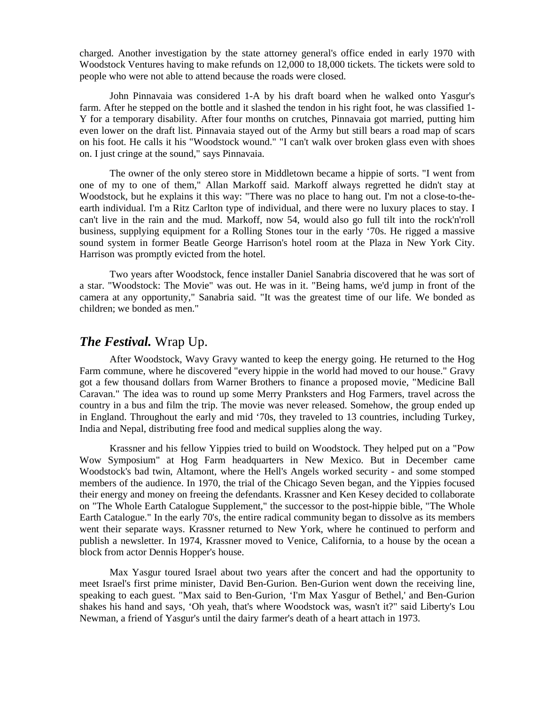charged. Another investigation by the state attorney general's office ended in early 1970 with Woodstock Ventures having to make refunds on 12,000 to 18,000 tickets. The tickets were sold to people who were not able to attend because the roads were closed.

John Pinnavaia was considered 1-A by his draft board when he walked onto Yasgur's farm. After he stepped on the bottle and it slashed the tendon in his right foot, he was classified 1- Y for a temporary disability. After four months on crutches, Pinnavaia got married, putting him even lower on the draft list. Pinnavaia stayed out of the Army but still bears a road map of scars on his foot. He calls it his "Woodstock wound." "I can't walk over broken glass even with shoes on. I just cringe at the sound," says Pinnavaia.

The owner of the only stereo store in Middletown became a hippie of sorts. "I went from one of my to one of them," Allan Markoff said. Markoff always regretted he didn't stay at Woodstock, but he explains it this way: "There was no place to hang out. I'm not a close-to-theearth individual. I'm a Ritz Carlton type of individual, and there were no luxury places to stay. I can't live in the rain and the mud. Markoff, now 54, would also go full tilt into the rock'n'roll business, supplying equipment for a Rolling Stones tour in the early '70s. He rigged a massive sound system in former Beatle George Harrison's hotel room at the Plaza in New York City. Harrison was promptly evicted from the hotel.

Two years after Woodstock, fence installer Daniel Sanabria discovered that he was sort of a star. "Woodstock: The Movie" was out. He was in it. "Being hams, we'd jump in front of the camera at any opportunity," Sanabria said. "It was the greatest time of our life. We bonded as children; we bonded as men."

### *The Festival.* Wrap Up.

After Woodstock, Wavy Gravy wanted to keep the energy going. He returned to the Hog Farm commune, where he discovered "every hippie in the world had moved to our house." Gravy got a few thousand dollars from Warner Brothers to finance a proposed movie, "Medicine Ball Caravan." The idea was to round up some Merry Pranksters and Hog Farmers, travel across the country in a bus and film the trip. The movie was never released. Somehow, the group ended up in England. Throughout the early and mid '70s, they traveled to 13 countries, including Turkey, India and Nepal, distributing free food and medical supplies along the way.

Krassner and his fellow Yippies tried to build on Woodstock. They helped put on a "Pow Wow Symposium" at Hog Farm headquarters in New Mexico. But in December came Woodstock's bad twin, Altamont, where the Hell's Angels worked security - and some stomped members of the audience. In 1970, the trial of the Chicago Seven began, and the Yippies focused their energy and money on freeing the defendants. Krassner and Ken Kesey decided to collaborate on "The Whole Earth Catalogue Supplement," the successor to the post-hippie bible, "The Whole Earth Catalogue." In the early 70's, the entire radical community began to dissolve as its members went their separate ways. Krassner returned to New York, where he continued to perform and publish a newsletter. In 1974, Krassner moved to Venice, California, to a house by the ocean a block from actor Dennis Hopper's house.

Max Yasgur toured Israel about two years after the concert and had the opportunity to meet Israel's first prime minister, David Ben-Gurion. Ben-Gurion went down the receiving line, speaking to each guest. "Max said to Ben-Gurion, 'I'm Max Yasgur of Bethel,' and Ben-Gurion shakes his hand and says, 'Oh yeah, that's where Woodstock was, wasn't it?" said Liberty's Lou Newman, a friend of Yasgur's until the dairy farmer's death of a heart attach in 1973.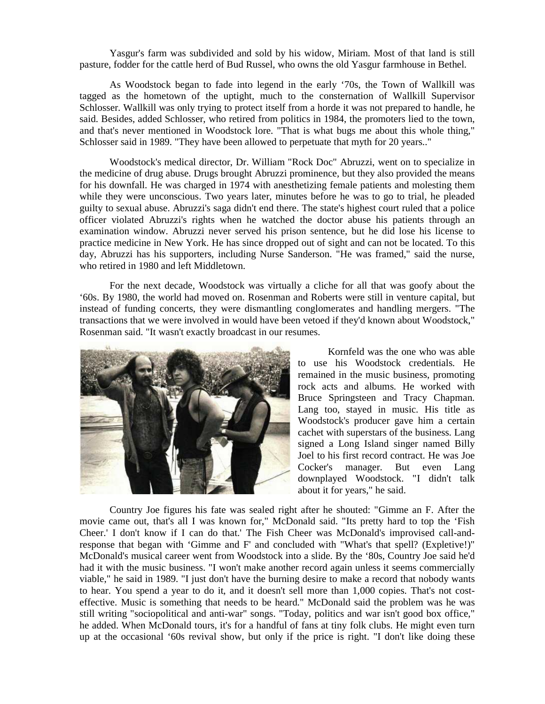Yasgur's farm was subdivided and sold by his widow, Miriam. Most of that land is still pasture, fodder for the cattle herd of Bud Russel, who owns the old Yasgur farmhouse in Bethel.

As Woodstock began to fade into legend in the early '70s, the Town of Wallkill was tagged as the hometown of the uptight, much to the consternation of Wallkill Supervisor Schlosser. Wallkill was only trying to protect itself from a horde it was not prepared to handle, he said. Besides, added Schlosser, who retired from politics in 1984, the promoters lied to the town, and that's never mentioned in Woodstock lore. "That is what bugs me about this whole thing," Schlosser said in 1989. "They have been allowed to perpetuate that myth for 20 years.."

Woodstock's medical director, Dr. William "Rock Doc" Abruzzi, went on to specialize in the medicine of drug abuse. Drugs brought Abruzzi prominence, but they also provided the means for his downfall. He was charged in 1974 with anesthetizing female patients and molesting them while they were unconscious. Two years later, minutes before he was to go to trial, he pleaded guilty to sexual abuse. Abruzzi's saga didn't end there. The state's highest court ruled that a police officer violated Abruzzi's rights when he watched the doctor abuse his patients through an examination window. Abruzzi never served his prison sentence, but he did lose his license to practice medicine in New York. He has since dropped out of sight and can not be located. To this day, Abruzzi has his supporters, including Nurse Sanderson. "He was framed," said the nurse, who retired in 1980 and left Middletown.

For the next decade, Woodstock was virtually a cliche for all that was goofy about the '60s. By 1980, the world had moved on. Rosenman and Roberts were still in venture capital, but instead of funding concerts, they were dismantling conglomerates and handling mergers. "The transactions that we were involved in would have been vetoed if they'd known about Woodstock," Rosenman said. "It wasn't exactly broadcast in our resumes.



Kornfeld was the one who was able to use his Woodstock credentials. He remained in the music business, promoting rock acts and albums. He worked with Bruce Springsteen and Tracy Chapman. Lang too, stayed in music. His title as Woodstock's producer gave him a certain cachet with superstars of the business. Lang signed a Long Island singer named Billy Joel to his first record contract. He was Joe Cocker's manager. But even Lang downplayed Woodstock. "I didn't talk about it for years," he said.

Country Joe figures his fate was sealed right after he shouted: "Gimme an F. After the movie came out, that's all I was known for," McDonald said. "Its pretty hard to top the 'Fish Cheer.' I don't know if I can do that.' The Fish Cheer was McDonald's improvised call-andresponse that began with 'Gimme and F' and concluded with "What's that spell? (Expletive!)" McDonald's musical career went from Woodstock into a slide. By the '80s, Country Joe said he'd had it with the music business. "I won't make another record again unless it seems commercially viable," he said in 1989. "I just don't have the burning desire to make a record that nobody wants to hear. You spend a year to do it, and it doesn't sell more than 1,000 copies. That's not costeffective. Music is something that needs to be heard." McDonald said the problem was he was still writing "sociopolitical and anti-war" songs. "Today, politics and war isn't good box office," he added. When McDonald tours, it's for a handful of fans at tiny folk clubs. He might even turn up at the occasional '60s revival show, but only if the price is right. "I don't like doing these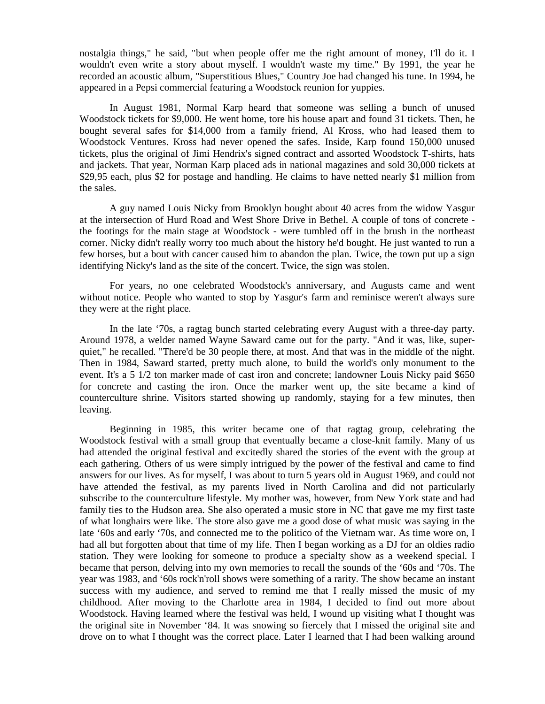nostalgia things," he said, "but when people offer me the right amount of money, I'll do it. I wouldn't even write a story about myself. I wouldn't waste my time." By 1991, the year he recorded an acoustic album, "Superstitious Blues," Country Joe had changed his tune. In 1994, he appeared in a Pepsi commercial featuring a Woodstock reunion for yuppies.

In August 1981, Normal Karp heard that someone was selling a bunch of unused Woodstock tickets for \$9,000. He went home, tore his house apart and found 31 tickets. Then, he bought several safes for \$14,000 from a family friend, Al Kross, who had leased them to Woodstock Ventures. Kross had never opened the safes. Inside, Karp found 150,000 unused tickets, plus the original of Jimi Hendrix's signed contract and assorted Woodstock T-shirts, hats and jackets. That year, Norman Karp placed ads in national magazines and sold 30,000 tickets at \$29,95 each, plus \$2 for postage and handling. He claims to have netted nearly \$1 million from the sales.

A guy named Louis Nicky from Brooklyn bought about 40 acres from the widow Yasgur at the intersection of Hurd Road and West Shore Drive in Bethel. A couple of tons of concrete the footings for the main stage at Woodstock - were tumbled off in the brush in the northeast corner. Nicky didn't really worry too much about the history he'd bought. He just wanted to run a few horses, but a bout with cancer caused him to abandon the plan. Twice, the town put up a sign identifying Nicky's land as the site of the concert. Twice, the sign was stolen.

For years, no one celebrated Woodstock's anniversary, and Augusts came and went without notice. People who wanted to stop by Yasgur's farm and reminisce weren't always sure they were at the right place.

In the late '70s, a ragtag bunch started celebrating every August with a three-day party. Around 1978, a welder named Wayne Saward came out for the party. "And it was, like, superquiet," he recalled. "There'd be 30 people there, at most. And that was in the middle of the night. Then in 1984, Saward started, pretty much alone, to build the world's only monument to the event. It's a 5 1/2 ton marker made of cast iron and concrete; landowner Louis Nicky paid \$650 for concrete and casting the iron. Once the marker went up, the site became a kind of counterculture shrine. Visitors started showing up randomly, staying for a few minutes, then leaving.

 Beginning in 1985, this writer became one of that ragtag group, celebrating the Woodstock festival with a small group that eventually became a close-knit family. Many of us had attended the original festival and excitedly shared the stories of the event with the group at each gathering. Others of us were simply intrigued by the power of the festival and came to find answers for our lives. As for myself, I was about to turn 5 years old in August 1969, and could not have attended the festival, as my parents lived in North Carolina and did not particularly subscribe to the counterculture lifestyle. My mother was, however, from New York state and had family ties to the Hudson area. She also operated a music store in NC that gave me my first taste of what longhairs were like. The store also gave me a good dose of what music was saying in the late '60s and early '70s, and connected me to the politico of the Vietnam war. As time wore on, I had all but forgotten about that time of my life. Then I began working as a DJ for an oldies radio station. They were looking for someone to produce a specialty show as a weekend special. I became that person, delving into my own memories to recall the sounds of the '60s and '70s. The year was 1983, and '60s rock'n'roll shows were something of a rarity. The show became an instant success with my audience, and served to remind me that I really missed the music of my childhood. After moving to the Charlotte area in 1984, I decided to find out more about Woodstock. Having learned where the festival was held, I wound up visiting what I thought was the original site in November '84. It was snowing so fiercely that I missed the original site and drove on to what I thought was the correct place. Later I learned that I had been walking around